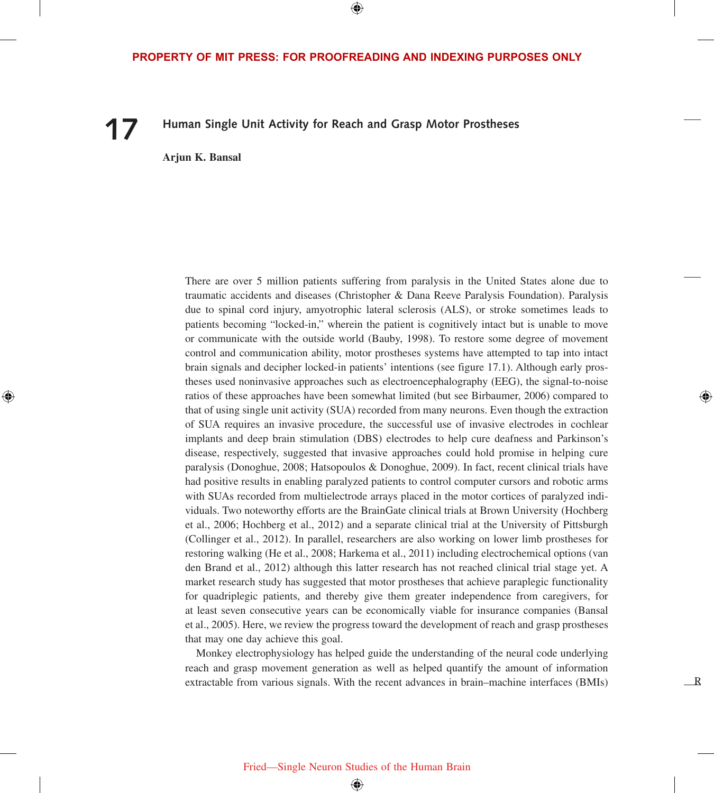⊕

# **17 Human Single Unit Activity for Reach and Grasp Motor Prostheses**

**Arjun K. Bansal**

⊕

There are over 5 million patients suffering from paralysis in the United States alone due to traumatic accidents and diseases (Christopher & Dana Reeve Paralysis Foundation). Paralysis due to spinal cord injury, amyotrophic lateral sclerosis (ALS), or stroke sometimes leads to patients becoming "locked-in," wherein the patient is cognitively intact but is unable to move or communicate with the outside world (Bauby, 1998). To restore some degree of movement control and communication ability, motor prostheses systems have attempted to tap into intact brain signals and decipher locked-in patients' intentions (see figure 17.1). Although early prostheses used noninvasive approaches such as electroencephalography (EEG), the signal-to-noise ratios of these approaches have been somewhat limited (but see Birbaumer, 2006) compared to that of using single unit activity (SUA) recorded from many neurons. Even though the extraction of SUA requires an invasive procedure, the successful use of invasive electrodes in cochlear implants and deep brain stimulation (DBS) electrodes to help cure deafness and Parkinson's disease, respectively, suggested that invasive approaches could hold promise in helping cure paralysis (Donoghue, 2008; Hatsopoulos & Donoghue, 2009). In fact, recent clinical trials have had positive results in enabling paralyzed patients to control computer cursors and robotic arms with SUAs recorded from multielectrode arrays placed in the motor cortices of paralyzed individuals. Two noteworthy efforts are the BrainGate clinical trials at Brown University (Hochberg et al., 2006; Hochberg et al., 2012) and a separate clinical trial at the University of Pittsburgh (Collinger et al., 2012). In parallel, researchers are also working on lower limb prostheses for restoring walking (He et al., 2008; Harkema et al., 2011) including electrochemical options (van den Brand et al., 2012) although this latter research has not reached clinical trial stage yet. A market research study has suggested that motor prostheses that achieve paraplegic functionality for quadriplegic patients, and thereby give them greater independence from caregivers, for at least seven consecutive years can be economically viable for insurance companies (Bansal et al., 2005). Here, we review the progress toward the development of reach and grasp prostheses that may one day achieve this goal.

Monkey electrophysiology has helped guide the understanding of the neural code underlying reach and grasp movement generation as well as helped quantify the amount of information extractable from various signals. With the recent advances in brain–machine interfaces (BMIs)

R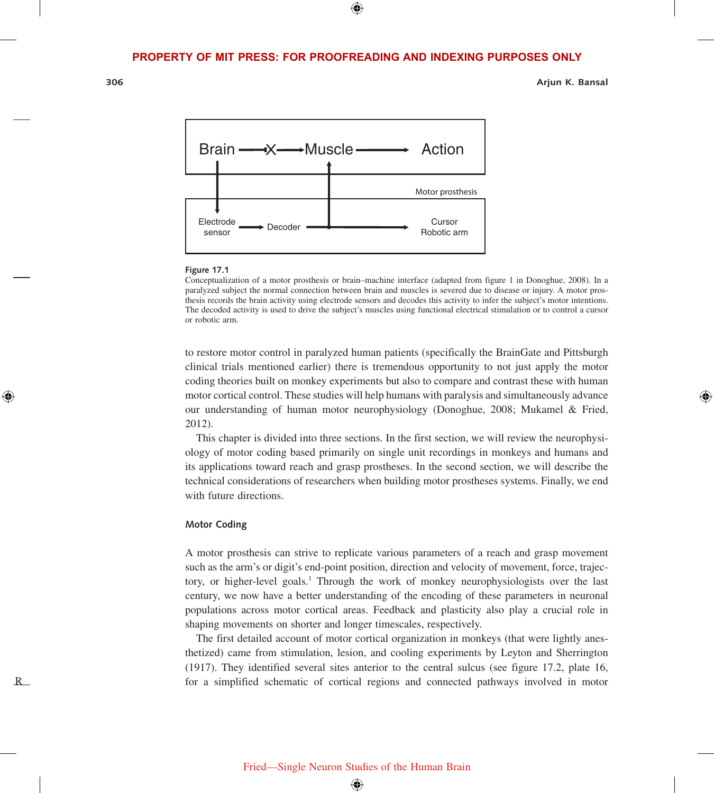⊕

**306 Arjun K. Bansal**



#### **Figure 17.1**

Conceptualization of a motor prosthesis or brain–machine interface (adapted from figure 1 in Donoghue, 2008). In a paralyzed subject the normal connection between brain and muscles is severed due to disease or injury. A motor prosthesis records the brain activity using electrode sensors and decodes this activity to infer the subject's motor intentions. The decoded activity is used to drive the subject's muscles using functional electrical stimulation or to control a cursor or robotic arm.

to restore motor control in paralyzed human patients (specifically the BrainGate and Pittsburgh clinical trials mentioned earlier) there is tremendous opportunity to not just apply the motor coding theories built on monkey experiments but also to compare and contrast these with human motor cortical control. These studies will help humans with paralysis and simultaneously advance our understanding of human motor neurophysiology (Donoghue, 2008; Mukamel & Fried, 2012).

This chapter is divided into three sections. In the first section, we will review the neurophysiology of motor coding based primarily on single unit recordings in monkeys and humans and its applications toward reach and grasp prostheses. In the second section, we will describe the technical considerations of researchers when building motor prostheses systems. Finally, we end with future directions.

## **Motor Coding**

A motor prosthesis can strive to replicate various parameters of a reach and grasp movement such as the arm's or digit's end-point position, direction and velocity of movement, force, trajectory, or higher-level goals.<sup>1</sup> Through the work of monkey neurophysiologists over the last century, we now have a better understanding of the encoding of these parameters in neuronal populations across motor cortical areas. Feedback and plasticity also play a crucial role in shaping movements on shorter and longer timescales, respectively.

The first detailed account of motor cortical organization in monkeys (that were lightly anesthetized) came from stimulation, lesion, and cooling experiments by Leyton and Sherrington (1917). They identified several sites anterior to the central sulcus (see figure 17.2, plate 16, for a simplified schematic of cortical regions and connected pathways involved in motor

R

⊕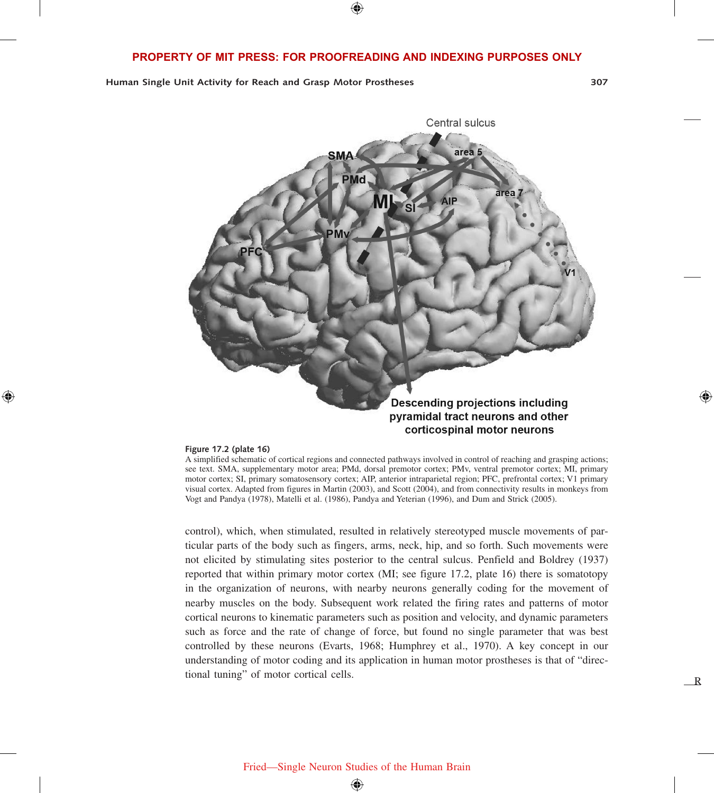**Human Single Unit Activity for Reach and Grasp Motor Prostheses 307**

R

⊕



#### **Figure 17.2 (plate 16)**

⊕

A simplified schematic of cortical regions and connected pathways involved in control of reaching and grasping actions; see text. SMA, supplementary motor area; PMd, dorsal premotor cortex; PMv, ventral premotor cortex; MI, primary motor cortex; SI, primary somatosensory cortex; AIP, anterior intraparietal region; PFC, prefrontal cortex; V1 primary visual cortex. Adapted from figures in Martin (2003), and Scott (2004), and from connectivity results in monkeys from Vogt and Pandya (1978), Matelli et al. (1986), Pandya and Yeterian (1996), and Dum and Strick (2005).

control), which, when stimulated, resulted in relatively stereotyped muscle movements of particular parts of the body such as fingers, arms, neck, hip, and so forth. Such movements were not elicited by stimulating sites posterior to the central sulcus. Penfield and Boldrey (1937) reported that within primary motor cortex (MI; see figure 17.2, plate 16) there is somatotopy in the organization of neurons, with nearby neurons generally coding for the movement of nearby muscles on the body. Subsequent work related the firing rates and patterns of motor cortical neurons to kinematic parameters such as position and velocity, and dynamic parameters such as force and the rate of change of force, but found no single parameter that was best controlled by these neurons (Evarts, 1968; Humphrey et al., 1970). A key concept in our understanding of motor coding and its application in human motor prostheses is that of "directional tuning" of motor cortical cells.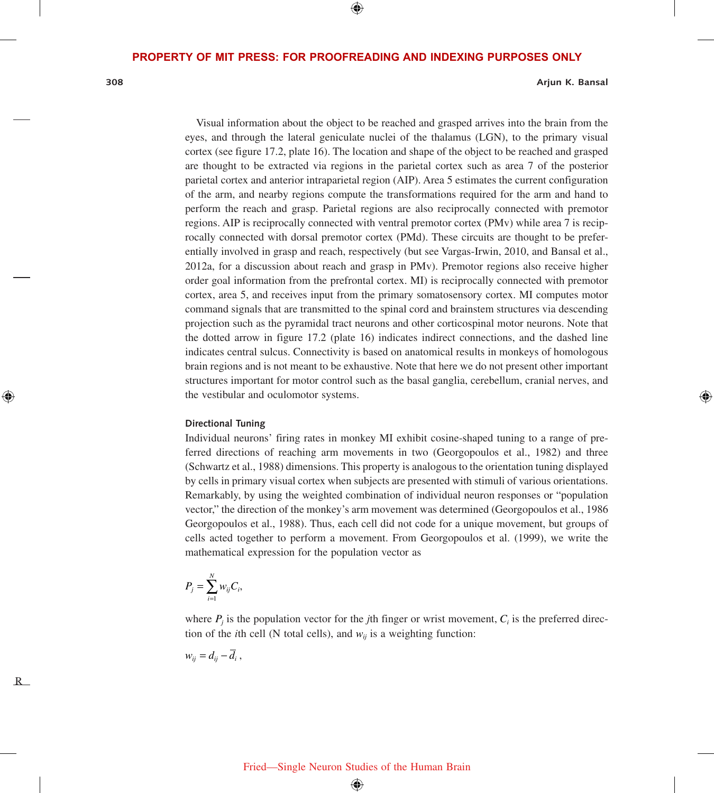$\bigoplus$ 

**308 Arjun K. Bansal**

⇔

Visual information about the object to be reached and grasped arrives into the brain from the eyes, and through the lateral geniculate nuclei of the thalamus (LGN), to the primary visual cortex (see figure 17.2, plate 16). The location and shape of the object to be reached and grasped are thought to be extracted via regions in the parietal cortex such as area 7 of the posterior parietal cortex and anterior intraparietal region (AIP). Area 5 estimates the current configuration of the arm, and nearby regions compute the transformations required for the arm and hand to perform the reach and grasp. Parietal regions are also reciprocally connected with premotor regions. AIP is reciprocally connected with ventral premotor cortex (PMv) while area 7 is reciprocally connected with dorsal premotor cortex (PMd). These circuits are thought to be preferentially involved in grasp and reach, respectively (but see Vargas-Irwin, 2010, and Bansal et al., 2012a, for a discussion about reach and grasp in PMv). Premotor regions also receive higher order goal information from the prefrontal cortex. MI) is reciprocally connected with premotor cortex, area 5, and receives input from the primary somatosensory cortex. MI computes motor command signals that are transmitted to the spinal cord and brainstem structures via descending projection such as the pyramidal tract neurons and other corticospinal motor neurons. Note that the dotted arrow in figure 17.2 (plate 16) indicates indirect connections, and the dashed line indicates central sulcus. Connectivity is based on anatomical results in monkeys of homologous brain regions and is not meant to be exhaustive. Note that here we do not present other important structures important for motor control such as the basal ganglia, cerebellum, cranial nerves, and the vestibular and oculomotor systems.

#### **Directional Tuning**

Individual neurons' firing rates in monkey MI exhibit cosine-shaped tuning to a range of preferred directions of reaching arm movements in two (Georgopoulos et al., 1982) and three (Schwartz et al., 1988) dimensions. This property is analogous to the orientation tuning displayed by cells in primary visual cortex when subjects are presented with stimuli of various orientations. Remarkably, by using the weighted combination of individual neuron responses or "population vector," the direction of the monkey's arm movement was determined (Georgopoulos et al., 1986 Georgopoulos et al., 1988). Thus, each cell did not code for a unique movement, but groups of cells acted together to perform a movement. From Georgopoulos et al. (1999), we write the mathematical expression for the population vector as

$$
P_j = \sum_{i=1}^N w_{ij} C_i,
$$

where  $P_i$  is the population vector for the *j*th finger or wrist movement,  $C_i$  is the preferred direction of the *i*th cell (N total cells), and  $w_{ij}$  is a weighting function:

 $w_{ii} = d_{ij} - \overline{d}_i$ ,

R

⊕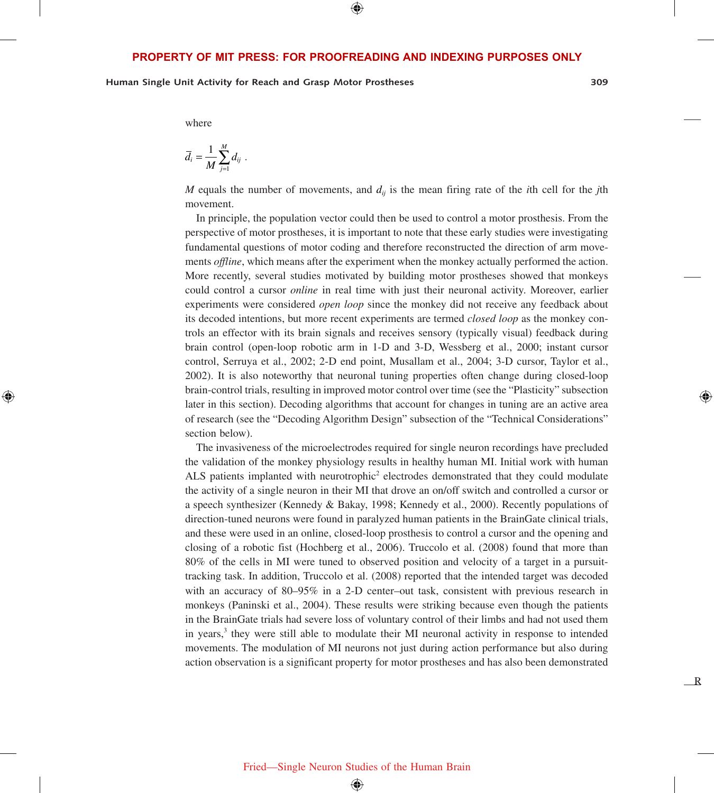⊕

**Human Single Unit Activity for Reach and Grasp Motor Prostheses 309**

R

where

⊕

$$
\overline{d}_i = \frac{1}{M} \sum_{j=1}^M d_{ij}.
$$

*M* equals the number of movements, and  $d_{ij}$  is the mean firing rate of the *i*th cell for the *j*th movement.

In principle, the population vector could then be used to control a motor prosthesis. From the perspective of motor prostheses, it is important to note that these early studies were investigating fundamental questions of motor coding and therefore reconstructed the direction of arm movements *offline*, which means after the experiment when the monkey actually performed the action. More recently, several studies motivated by building motor prostheses showed that monkeys could control a cursor *online* in real time with just their neuronal activity. Moreover, earlier experiments were considered *open loop* since the monkey did not receive any feedback about its decoded intentions, but more recent experiments are termed *closed loop* as the monkey controls an effector with its brain signals and receives sensory (typically visual) feedback during brain control (open-loop robotic arm in 1-D and 3-D, Wessberg et al., 2000; instant cursor control, Serruya et al., 2002; 2-D end point, Musallam et al., 2004; 3-D cursor, Taylor et al., 2002). It is also noteworthy that neuronal tuning properties often change during closed-loop brain-control trials, resulting in improved motor control over time (see the "Plasticity" subsection later in this section). Decoding algorithms that account for changes in tuning are an active area of research (see the "Decoding Algorithm Design" subsection of the "Technical Considerations" section below).

The invasiveness of the microelectrodes required for single neuron recordings have precluded the validation of the monkey physiology results in healthy human MI. Initial work with human ALS patients implanted with neurotrophic<sup>2</sup> electrodes demonstrated that they could modulate the activity of a single neuron in their MI that drove an on/off switch and controlled a cursor or a speech synthesizer (Kennedy & Bakay, 1998; Kennedy et al., 2000). Recently populations of direction-tuned neurons were found in paralyzed human patients in the BrainGate clinical trials, and these were used in an online, closed-loop prosthesis to control a cursor and the opening and closing of a robotic fist (Hochberg et al., 2006). Truccolo et al. (2008) found that more than 80% of the cells in MI were tuned to observed position and velocity of a target in a pursuittracking task. In addition, Truccolo et al. (2008) reported that the intended target was decoded with an accuracy of 80–95% in a 2-D center–out task, consistent with previous research in monkeys (Paninski et al., 2004). These results were striking because even though the patients in the BrainGate trials had severe loss of voluntary control of their limbs and had not used them in years,<sup>3</sup> they were still able to modulate their MI neuronal activity in response to intended movements. The modulation of MI neurons not just during action performance but also during action observation is a significant property for motor prostheses and has also been demonstrated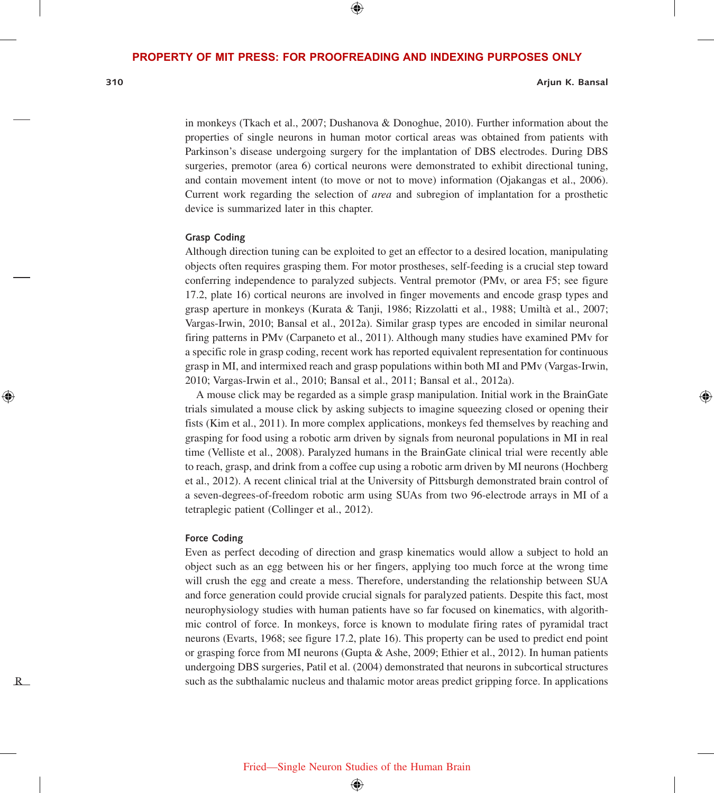$\bigoplus$ 

**310 Arjun K. Bansal**

in monkeys (Tkach et al., 2007; Dushanova & Donoghue, 2010). Further information about the properties of single neurons in human motor cortical areas was obtained from patients with Parkinson's disease undergoing surgery for the implantation of DBS electrodes. During DBS surgeries, premotor (area 6) cortical neurons were demonstrated to exhibit directional tuning, and contain movement intent (to move or not to move) information (Ojakangas et al., 2006). Current work regarding the selection of *area* and subregion of implantation for a prosthetic device is summarized later in this chapter.

#### **Grasp Coding**

Although direction tuning can be exploited to get an effector to a desired location, manipulating objects often requires grasping them. For motor prostheses, self-feeding is a crucial step toward conferring independence to paralyzed subjects. Ventral premotor (PMv, or area F5; see figure 17.2, plate 16) cortical neurons are involved in finger movements and encode grasp types and grasp aperture in monkeys (Kurata & Tanji, 1986; Rizzolatti et al., 1988; Umiltà et al., 2007; Vargas-Irwin, 2010; Bansal et al., 2012a). Similar grasp types are encoded in similar neuronal firing patterns in PMv (Carpaneto et al., 2011). Although many studies have examined PMv for a specific role in grasp coding, recent work has reported equivalent representation for continuous grasp in MI, and intermixed reach and grasp populations within both MI and PMv (Vargas-Irwin, 2010; Vargas-Irwin et al., 2010; Bansal et al., 2011; Bansal et al., 2012a).

A mouse click may be regarded as a simple grasp manipulation. Initial work in the BrainGate trials simulated a mouse click by asking subjects to imagine squeezing closed or opening their fists (Kim et al., 2011). In more complex applications, monkeys fed themselves by reaching and grasping for food using a robotic arm driven by signals from neuronal populations in MI in real time (Velliste et al., 2008). Paralyzed humans in the BrainGate clinical trial were recently able to reach, grasp, and drink from a coffee cup using a robotic arm driven by MI neurons (Hochberg et al., 2012). A recent clinical trial at the University of Pittsburgh demonstrated brain control of a seven-degrees-of-freedom robotic arm using SUAs from two 96-electrode arrays in MI of a tetraplegic patient (Collinger et al., 2012).

#### **Force Coding**

Even as perfect decoding of direction and grasp kinematics would allow a subject to hold an object such as an egg between his or her fingers, applying too much force at the wrong time will crush the egg and create a mess. Therefore, understanding the relationship between SUA and force generation could provide crucial signals for paralyzed patients. Despite this fact, most neurophysiology studies with human patients have so far focused on kinematics, with algorithmic control of force. In monkeys, force is known to modulate firing rates of pyramidal tract neurons (Evarts, 1968; see figure 17.2, plate 16). This property can be used to predict end point or grasping force from MI neurons (Gupta & Ashe, 2009; Ethier et al., 2012). In human patients undergoing DBS surgeries, Patil et al. (2004) demonstrated that neurons in subcortical structures such as the subthalamic nucleus and thalamic motor areas predict gripping force. In applications

R

⊕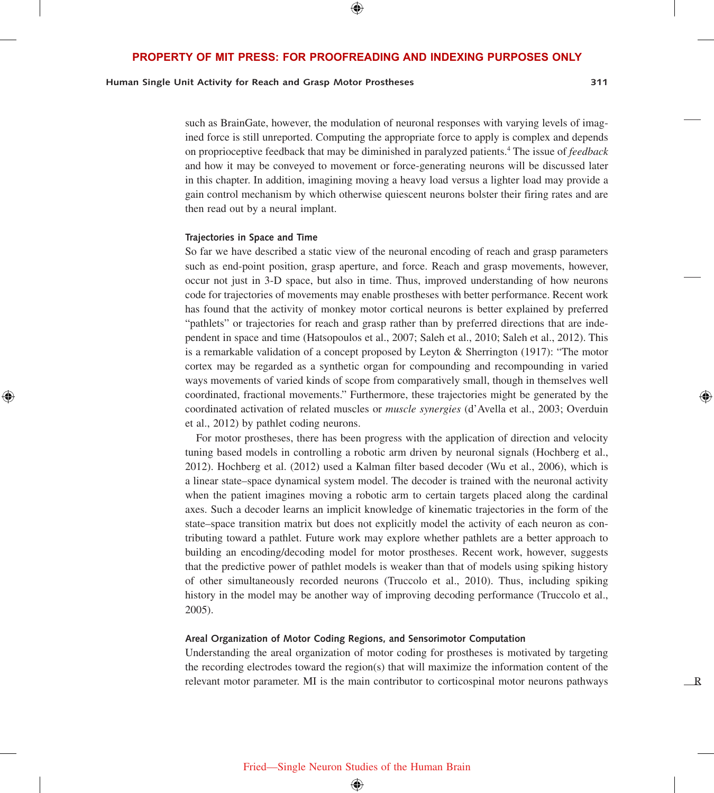⊕

## **Human Single Unit Activity for Reach and Grasp Motor Prostheses 311**

R

such as BrainGate, however, the modulation of neuronal responses with varying levels of imagined force is still unreported. Computing the appropriate force to apply is complex and depends on proprioceptive feedback that may be diminished in paralyzed patients.4 The issue of *feedback* and how it may be conveyed to movement or force-generating neurons will be discussed later in this chapter. In addition, imagining moving a heavy load versus a lighter load may provide a gain control mechanism by which otherwise quiescent neurons bolster their firing rates and are then read out by a neural implant.

#### **Trajectories in Space and Time**

⊕

So far we have described a static view of the neuronal encoding of reach and grasp parameters such as end-point position, grasp aperture, and force. Reach and grasp movements, however, occur not just in 3-D space, but also in time. Thus, improved understanding of how neurons code for trajectories of movements may enable prostheses with better performance. Recent work has found that the activity of monkey motor cortical neurons is better explained by preferred "pathlets" or trajectories for reach and grasp rather than by preferred directions that are independent in space and time (Hatsopoulos et al., 2007; Saleh et al., 2010; Saleh et al., 2012). This is a remarkable validation of a concept proposed by Leyton & Sherrington (1917): "The motor cortex may be regarded as a synthetic organ for compounding and recompounding in varied ways movements of varied kinds of scope from comparatively small, though in themselves well coordinated, fractional movements." Furthermore, these trajectories might be generated by the coordinated activation of related muscles or *muscle synergies* (d'Avella et al., 2003; Overduin et al., 2012) by pathlet coding neurons.

For motor prostheses, there has been progress with the application of direction and velocity tuning based models in controlling a robotic arm driven by neuronal signals (Hochberg et al., 2012). Hochberg et al. (2012) used a Kalman filter based decoder (Wu et al., 2006), which is a linear state–space dynamical system model. The decoder is trained with the neuronal activity when the patient imagines moving a robotic arm to certain targets placed along the cardinal axes. Such a decoder learns an implicit knowledge of kinematic trajectories in the form of the state–space transition matrix but does not explicitly model the activity of each neuron as contributing toward a pathlet. Future work may explore whether pathlets are a better approach to building an encoding/decoding model for motor prostheses. Recent work, however, suggests that the predictive power of pathlet models is weaker than that of models using spiking history of other simultaneously recorded neurons (Truccolo et al., 2010). Thus, including spiking history in the model may be another way of improving decoding performance (Truccolo et al., 2005).

#### **Areal Organization of Motor Coding Regions, and Sensorimotor Computation**

Understanding the areal organization of motor coding for prostheses is motivated by targeting the recording electrodes toward the region(s) that will maximize the information content of the relevant motor parameter. MI is the main contributor to corticospinal motor neurons pathways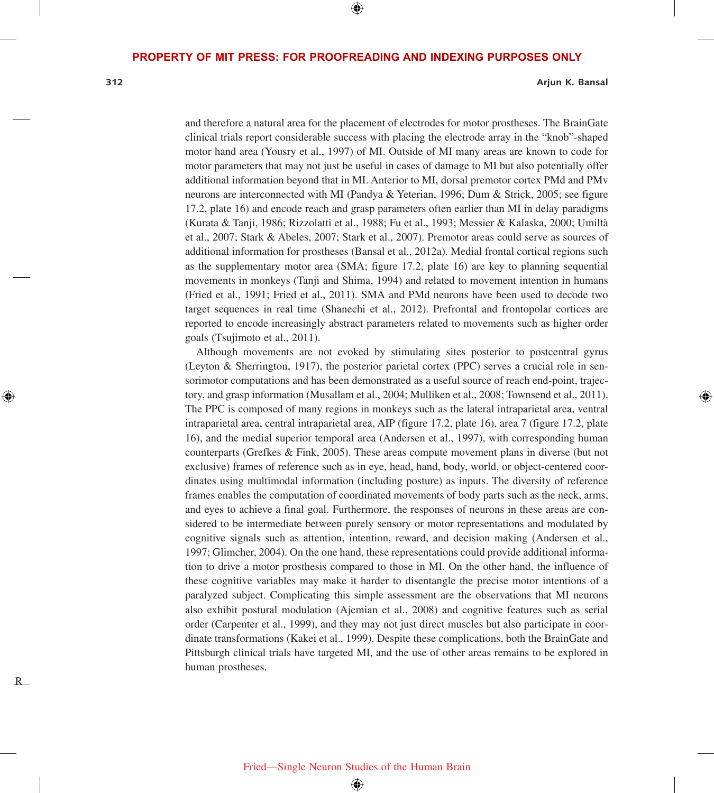⊕

R

⊕

#### **312 Arjun K. Bansal**

and therefore a natural area for the placement of electrodes for motor prostheses. The BrainGate clinical trials report considerable success with placing the electrode array in the "knob"-shaped motor hand area (Yousry et al., 1997) of MI. Outside of MI many areas are known to code for motor parameters that may not just be useful in cases of damage to MI but also potentially offer additional information beyond that in MI. Anterior to MI, dorsal premotor cortex PMd and PMv neurons are interconnected with MI (Pandya & Yeterian, 1996; Dum & Strick, 2005; see figure 17.2, plate 16) and encode reach and grasp parameters often earlier than MI in delay paradigms (Kurata & Tanji, 1986; Rizzolatti et al., 1988; Fu et al., 1993; Messier & Kalaska, 2000; Umiltà et al., 2007; Stark & Abeles, 2007; Stark et al., 2007). Premotor areas could serve as sources of additional information for prostheses (Bansal et al., 2012a). Medial frontal cortical regions such as the supplementary motor area (SMA; figure 17.2, plate 16) are key to planning sequential movements in monkeys (Tanji and Shima, 1994) and related to movement intention in humans (Fried et al., 1991; Fried et al., 2011). SMA and PMd neurons have been used to decode two target sequences in real time (Shanechi et al., 2012). Prefrontal and frontopolar cortices are reported to encode increasingly abstract parameters related to movements such as higher order goals (Tsujimoto et al., 2011).

Although movements are not evoked by stimulating sites posterior to postcentral gyrus (Leyton & Sherrington, 1917), the posterior parietal cortex (PPC) serves a crucial role in sensorimotor computations and has been demonstrated as a useful source of reach end-point, trajectory, and grasp information (Musallam et al., 2004; Mulliken et al., 2008; Townsend et al., 2011). The PPC is composed of many regions in monkeys such as the lateral intraparietal area, ventral intraparietal area, central intraparietal area, AIP (figure 17.2, plate 16), area 7 (figure 17.2, plate 16), and the medial superior temporal area (Andersen et al., 1997), with corresponding human counterparts (Grefkes & Fink, 2005). These areas compute movement plans in diverse (but not exclusive) frames of reference such as in eye, head, hand, body, world, or object-centered coordinates using multimodal information (including posture) as inputs. The diversity of reference frames enables the computation of coordinated movements of body parts such as the neck, arms, and eyes to achieve a final goal. Furthermore, the responses of neurons in these areas are considered to be intermediate between purely sensory or motor representations and modulated by cognitive signals such as attention, intention, reward, and decision making (Andersen et al., 1997; Glimcher, 2004). On the one hand, these representations could provide additional information to drive a motor prosthesis compared to those in MI. On the other hand, the influence of these cognitive variables may make it harder to disentangle the precise motor intentions of a paralyzed subject. Complicating this simple assessment are the observations that MI neurons also exhibit postural modulation (Ajemian et al., 2008) and cognitive features such as serial order (Carpenter et al., 1999), and they may not just direct muscles but also participate in coordinate transformations (Kakei et al., 1999). Despite these complications, both the BrainGate and Pittsburgh clinical trials have targeted MI, and the use of other areas remains to be explored in human prostheses.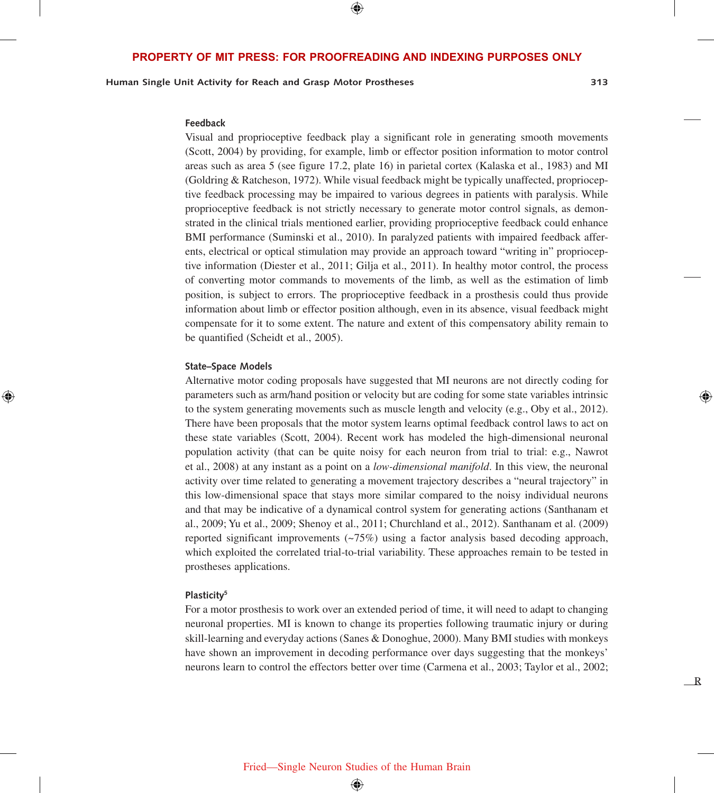$\bigoplus$ 

**Human Single Unit Activity for Reach and Grasp Motor Prostheses 313**

R

#### **Feedback**

Visual and proprioceptive feedback play a significant role in generating smooth movements (Scott, 2004) by providing, for example, limb or effector position information to motor control areas such as area 5 (see figure 17.2, plate 16) in parietal cortex (Kalaska et al., 1983) and MI (Goldring & Ratcheson, 1972). While visual feedback might be typically unaffected, proprioceptive feedback processing may be impaired to various degrees in patients with paralysis. While proprioceptive feedback is not strictly necessary to generate motor control signals, as demonstrated in the clinical trials mentioned earlier, providing proprioceptive feedback could enhance BMI performance (Suminski et al., 2010). In paralyzed patients with impaired feedback afferents, electrical or optical stimulation may provide an approach toward "writing in" proprioceptive information (Diester et al., 2011; Gilja et al., 2011). In healthy motor control, the process of converting motor commands to movements of the limb, as well as the estimation of limb position, is subject to errors. The proprioceptive feedback in a prosthesis could thus provide information about limb or effector position although, even in its absence, visual feedback might compensate for it to some extent. The nature and extent of this compensatory ability remain to be quantified (Scheidt et al., 2005).

#### **State–Space Models**

⊕

Alternative motor coding proposals have suggested that MI neurons are not directly coding for parameters such as arm/hand position or velocity but are coding for some state variables intrinsic to the system generating movements such as muscle length and velocity (e.g., Oby et al., 2012). There have been proposals that the motor system learns optimal feedback control laws to act on these state variables (Scott, 2004). Recent work has modeled the high-dimensional neuronal population activity (that can be quite noisy for each neuron from trial to trial: e.g., Nawrot et al., 2008) at any instant as a point on a *low-dimensional manifold*. In this view, the neuronal activity over time related to generating a movement trajectory describes a "neural trajectory" in this low-dimensional space that stays more similar compared to the noisy individual neurons and that may be indicative of a dynamical control system for generating actions (Santhanam et al., 2009; Yu et al., 2009; Shenoy et al., 2011; Churchland et al., 2012). Santhanam et al. (2009) reported significant improvements  $(-75%)$  using a factor analysis based decoding approach, which exploited the correlated trial-to-trial variability. These approaches remain to be tested in prostheses applications.

#### **Plasticity5**

For a motor prosthesis to work over an extended period of time, it will need to adapt to changing neuronal properties. MI is known to change its properties following traumatic injury or during skill-learning and everyday actions (Sanes & Donoghue, 2000). Many BMI studies with monkeys have shown an improvement in decoding performance over days suggesting that the monkeys' neurons learn to control the effectors better over time (Carmena et al., 2003; Taylor et al., 2002;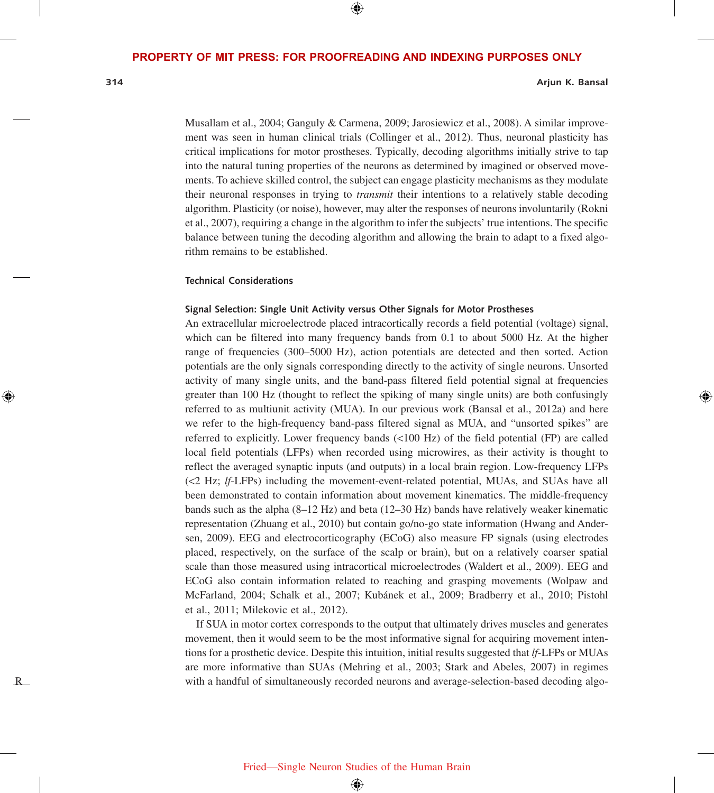$\bigoplus$ 

R

⊕

#### **314 Arjun K. Bansal**

Musallam et al., 2004; Ganguly & Carmena, 2009; Jarosiewicz et al., 2008). A similar improvement was seen in human clinical trials (Collinger et al., 2012). Thus, neuronal plasticity has critical implications for motor prostheses. Typically, decoding algorithms initially strive to tap into the natural tuning properties of the neurons as determined by imagined or observed movements. To achieve skilled control, the subject can engage plasticity mechanisms as they modulate their neuronal responses in trying to *transmit* their intentions to a relatively stable decoding algorithm. Plasticity (or noise), however, may alter the responses of neurons involuntarily (Rokni et al., 2007), requiring a change in the algorithm to infer the subjects' true intentions. The specific balance between tuning the decoding algorithm and allowing the brain to adapt to a fixed algorithm remains to be established.

#### **Technical Considerations**

#### **Signal Selection: Single Unit Activity versus Other Signals for Motor Prostheses**

An extracellular microelectrode placed intracortically records a field potential (voltage) signal, which can be filtered into many frequency bands from 0.1 to about 5000 Hz. At the higher range of frequencies (300–5000 Hz), action potentials are detected and then sorted. Action potentials are the only signals corresponding directly to the activity of single neurons. Unsorted activity of many single units, and the band-pass filtered field potential signal at frequencies greater than 100 Hz (thought to reflect the spiking of many single units) are both confusingly referred to as multiunit activity (MUA). In our previous work (Bansal et al., 2012a) and here we refer to the high-frequency band-pass filtered signal as MUA, and "unsorted spikes" are referred to explicitly. Lower frequency bands (<100 Hz) of the field potential (FP) are called local field potentials (LFPs) when recorded using microwires, as their activity is thought to reflect the averaged synaptic inputs (and outputs) in a local brain region. Low-frequency LFPs (<2 Hz; *lf*-LFPs) including the movement-event-related potential, MUAs, and SUAs have all been demonstrated to contain information about movement kinematics. The middle-frequency bands such as the alpha (8–12 Hz) and beta (12–30 Hz) bands have relatively weaker kinematic representation (Zhuang et al., 2010) but contain go/no-go state information (Hwang and Andersen, 2009). EEG and electrocorticography (ECoG) also measure FP signals (using electrodes placed, respectively, on the surface of the scalp or brain), but on a relatively coarser spatial scale than those measured using intracortical microelectrodes (Waldert et al., 2009). EEG and ECoG also contain information related to reaching and grasping movements (Wolpaw and McFarland, 2004; Schalk et al., 2007; Kubánek et al., 2009; Bradberry et al., 2010; Pistohl et al., 2011; Milekovic et al., 2012).

If SUA in motor cortex corresponds to the output that ultimately drives muscles and generates movement, then it would seem to be the most informative signal for acquiring movement intentions for a prosthetic device. Despite this intuition, initial results suggested that *lf*-LFPs or MUAs are more informative than SUAs (Mehring et al., 2003; Stark and Abeles, 2007) in regimes with a handful of simultaneously recorded neurons and average-selection-based decoding algo-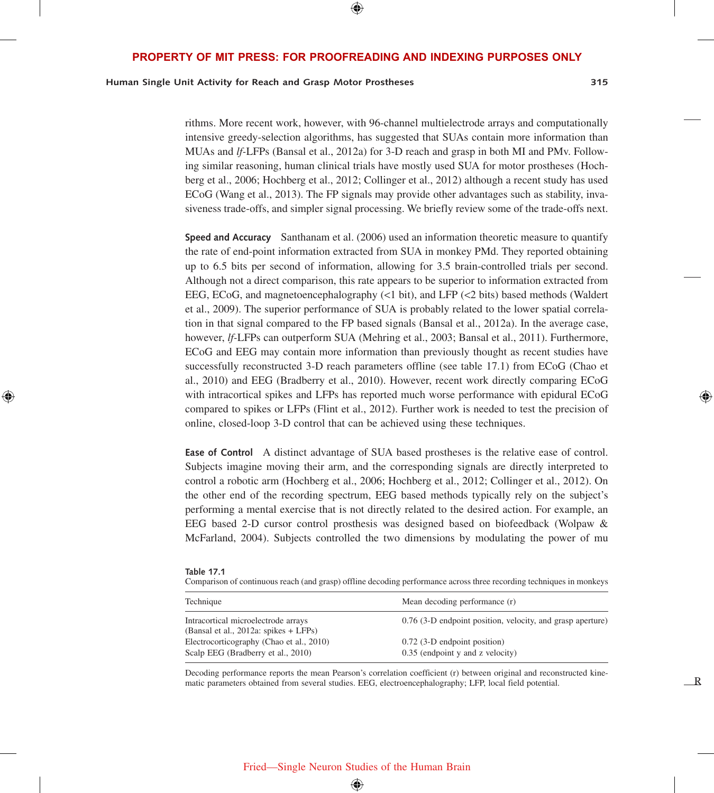## ⊕

#### **PROPERTY OF MIT PRESS: FOR PROOFREADING AND INDEXING PURPOSES ONLY PROPERTY OF MIT PRESS: FOR PROOFREADING AND INDEXING PURPOSES ONLY**

## **Human Single Unit Activity for Reach and Grasp Motor Prostheses 315**

R

rithms. More recent work, however, with 96-channel multielectrode arrays and computationally intensive greedy-selection algorithms, has suggested that SUAs contain more information than MUAs and *lf-*LFPs (Bansal et al., 2012a) for 3-D reach and grasp in both MI and PMv. Following similar reasoning, human clinical trials have mostly used SUA for motor prostheses (Hochberg et al., 2006; Hochberg et al., 2012; Collinger et al., 2012) although a recent study has used ECoG (Wang et al., 2013). The FP signals may provide other advantages such as stability, invasiveness trade-offs, and simpler signal processing. We briefly review some of the trade-offs next.

**Speed and Accuracy** Santhanam et al. (2006) used an information theoretic measure to quantify the rate of end-point information extracted from SUA in monkey PMd. They reported obtaining up to 6.5 bits per second of information, allowing for 3.5 brain-controlled trials per second. Although not a direct comparison, this rate appears to be superior to information extracted from EEG, ECoG, and magnetoencephalography (<1 bit), and LFP (<2 bits) based methods (Waldert et al., 2009). The superior performance of SUA is probably related to the lower spatial correlation in that signal compared to the FP based signals (Bansal et al., 2012a). In the average case, however, *lf-*LFPs can outperform SUA (Mehring et al., 2003; Bansal et al., 2011). Furthermore, ECoG and EEG may contain more information than previously thought as recent studies have successfully reconstructed 3-D reach parameters offline (see table 17.1) from ECoG (Chao et al., 2010) and EEG (Bradberry et al., 2010). However, recent work directly comparing ECoG with intracortical spikes and LFPs has reported much worse performance with epidural ECoG compared to spikes or LFPs (Flint et al., 2012). Further work is needed to test the precision of online, closed-loop 3-D control that can be achieved using these techniques.

**Ease of Control** A distinct advantage of SUA based prostheses is the relative ease of control. Subjects imagine moving their arm, and the corresponding signals are directly interpreted to control a robotic arm (Hochberg et al., 2006; Hochberg et al., 2012; Collinger et al., 2012). On the other end of the recording spectrum, EEG based methods typically rely on the subject's performing a mental exercise that is not directly related to the desired action. For example, an EEG based 2-D cursor control prosthesis was designed based on biofeedback (Wolpaw & McFarland, 2004). Subjects controlled the two dimensions by modulating the power of mu

| Table |  |  |
|-------|--|--|
|       |  |  |

⊕

Comparison of continuous reach (and grasp) offline decoding performance across three recording techniques in monkeys

| Technique                                                                      | Mean decoding performance (r)                                    |  |  |
|--------------------------------------------------------------------------------|------------------------------------------------------------------|--|--|
| Intracortical microelectrode arrays<br>(Bansal et al., 2012a: spikes $+$ LFPs) | 0.76 (3-D endpoint position, velocity, and grasp aperture)       |  |  |
| Electrocorticography (Chao et al., 2010)<br>Scalp EEG (Bradberry et al., 2010) | 0.72 (3-D endpoint position)<br>0.35 (endpoint y and z velocity) |  |  |

Decoding performance reports the mean Pearson's correlation coefficient (r) between original and reconstructed kinematic parameters obtained from several studies. EEG, electroencephalography; LFP, local field potential.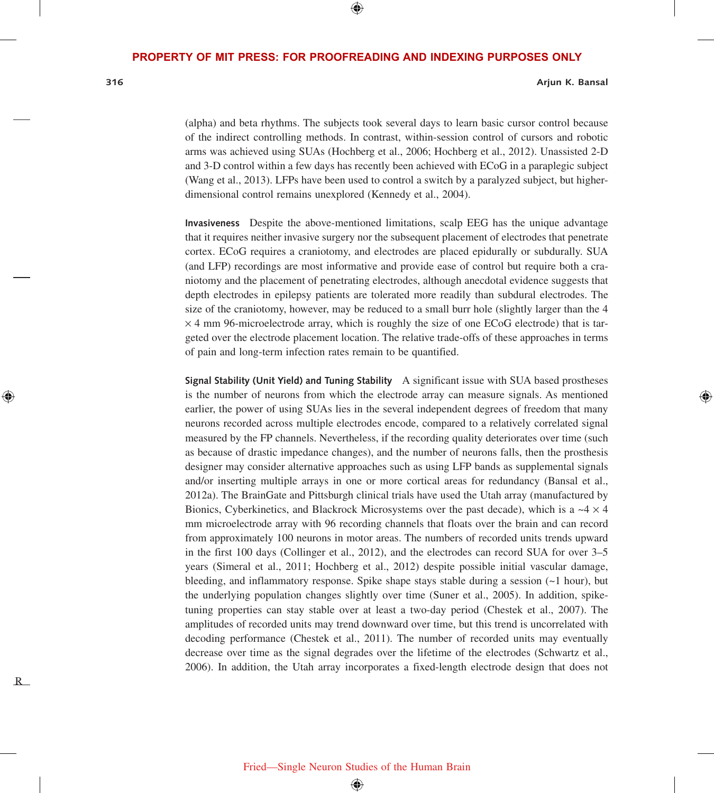$\bigoplus$ 

R

⊕

#### **316 Arjun K. Bansal**

(alpha) and beta rhythms. The subjects took several days to learn basic cursor control because of the indirect controlling methods. In contrast, within-session control of cursors and robotic arms was achieved using SUAs (Hochberg et al., 2006; Hochberg et al., 2012). Unassisted 2-D and 3-D control within a few days has recently been achieved with ECoG in a paraplegic subject (Wang et al., 2013). LFPs have been used to control a switch by a paralyzed subject, but higherdimensional control remains unexplored (Kennedy et al., 2004).

**Invasiveness** Despite the above-mentioned limitations, scalp EEG has the unique advantage that it requires neither invasive surgery nor the subsequent placement of electrodes that penetrate cortex. ECoG requires a craniotomy, and electrodes are placed epidurally or subdurally. SUA (and LFP) recordings are most informative and provide ease of control but require both a craniotomy and the placement of penetrating electrodes, although anecdotal evidence suggests that depth electrodes in epilepsy patients are tolerated more readily than subdural electrodes. The size of the craniotomy, however, may be reduced to a small burr hole (slightly larger than the 4  $\times$  4 mm 96-microelectrode array, which is roughly the size of one ECoG electrode) that is targeted over the electrode placement location. The relative trade-offs of these approaches in terms of pain and long-term infection rates remain to be quantified.

**Signal Stability (Unit Yield) and Tuning Stability** A significant issue with SUA based prostheses is the number of neurons from which the electrode array can measure signals. As mentioned earlier, the power of using SUAs lies in the several independent degrees of freedom that many neurons recorded across multiple electrodes encode, compared to a relatively correlated signal measured by the FP channels. Nevertheless, if the recording quality deteriorates over time (such as because of drastic impedance changes), and the number of neurons falls, then the prosthesis designer may consider alternative approaches such as using LFP bands as supplemental signals and/or inserting multiple arrays in one or more cortical areas for redundancy (Bansal et al., 2012a). The BrainGate and Pittsburgh clinical trials have used the Utah array (manufactured by Bionics, Cyberkinetics, and Blackrock Microsystems over the past decade), which is a  $\sim$  4  $\times$  4 mm microelectrode array with 96 recording channels that floats over the brain and can record from approximately 100 neurons in motor areas. The numbers of recorded units trends upward in the first 100 days (Collinger et al., 2012), and the electrodes can record SUA for over 3–5 years (Simeral et al., 2011; Hochberg et al., 2012) despite possible initial vascular damage, bleeding, and inflammatory response. Spike shape stays stable during a session  $(\sim 1$  hour), but the underlying population changes slightly over time (Suner et al., 2005). In addition, spiketuning properties can stay stable over at least a two-day period (Chestek et al., 2007). The amplitudes of recorded units may trend downward over time, but this trend is uncorrelated with decoding performance (Chestek et al., 2011). The number of recorded units may eventually decrease over time as the signal degrades over the lifetime of the electrodes (Schwartz et al., 2006). In addition, the Utah array incorporates a fixed-length electrode design that does not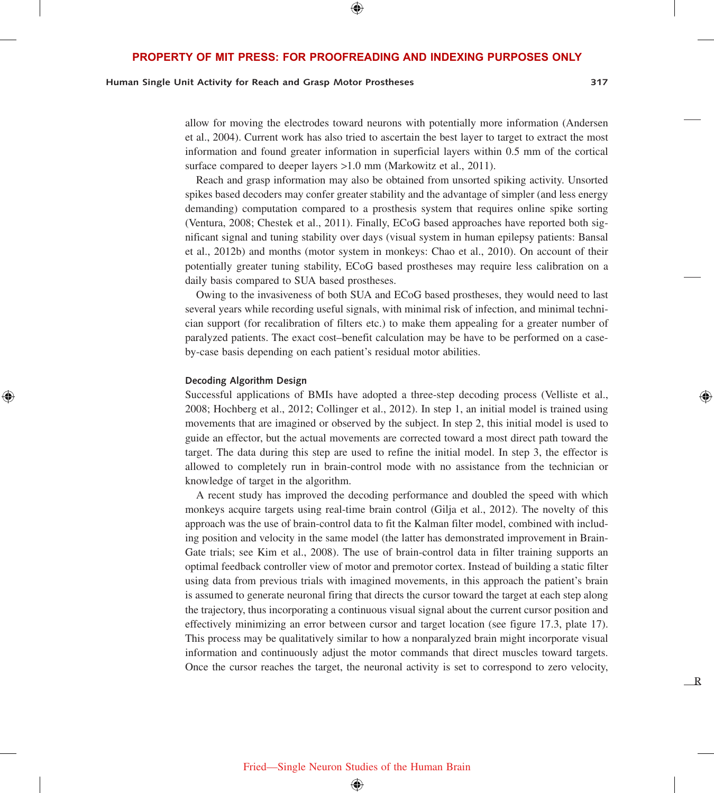⊕

## **Human Single Unit Activity for Reach and Grasp Motor Prostheses 317**

allow for moving the electrodes toward neurons with potentially more information (Andersen et al., 2004). Current work has also tried to ascertain the best layer to target to extract the most information and found greater information in superficial layers within 0.5 mm of the cortical surface compared to deeper layers >1.0 mm (Markowitz et al., 2011).

Reach and grasp information may also be obtained from unsorted spiking activity. Unsorted spikes based decoders may confer greater stability and the advantage of simpler (and less energy demanding) computation compared to a prosthesis system that requires online spike sorting (Ventura, 2008; Chestek et al., 2011). Finally, ECoG based approaches have reported both significant signal and tuning stability over days (visual system in human epilepsy patients: Bansal et al., 2012b) and months (motor system in monkeys: Chao et al., 2010). On account of their potentially greater tuning stability, ECoG based prostheses may require less calibration on a daily basis compared to SUA based prostheses.

Owing to the invasiveness of both SUA and ECoG based prostheses, they would need to last several years while recording useful signals, with minimal risk of infection, and minimal technician support (for recalibration of filters etc.) to make them appealing for a greater number of paralyzed patients. The exact cost–benefit calculation may be have to be performed on a caseby-case basis depending on each patient's residual motor abilities.

#### **Decoding Algorithm Design**

⊕

Successful applications of BMIs have adopted a three-step decoding process (Velliste et al., 2008; Hochberg et al., 2012; Collinger et al., 2012). In step 1, an initial model is trained using movements that are imagined or observed by the subject. In step 2, this initial model is used to guide an effector, but the actual movements are corrected toward a most direct path toward the target. The data during this step are used to refine the initial model. In step 3, the effector is allowed to completely run in brain-control mode with no assistance from the technician or knowledge of target in the algorithm.

A recent study has improved the decoding performance and doubled the speed with which monkeys acquire targets using real-time brain control (Gilja et al., 2012). The novelty of this approach was the use of brain-control data to fit the Kalman filter model, combined with including position and velocity in the same model (the latter has demonstrated improvement in Brain-Gate trials; see Kim et al., 2008). The use of brain-control data in filter training supports an optimal feedback controller view of motor and premotor cortex. Instead of building a static filter using data from previous trials with imagined movements, in this approach the patient's brain is assumed to generate neuronal firing that directs the cursor toward the target at each step along the trajectory, thus incorporating a continuous visual signal about the current cursor position and effectively minimizing an error between cursor and target location (see figure 17.3, plate 17). This process may be qualitatively similar to how a nonparalyzed brain might incorporate visual information and continuously adjust the motor commands that direct muscles toward targets. Once the cursor reaches the target, the neuronal activity is set to correspond to zero velocity,

R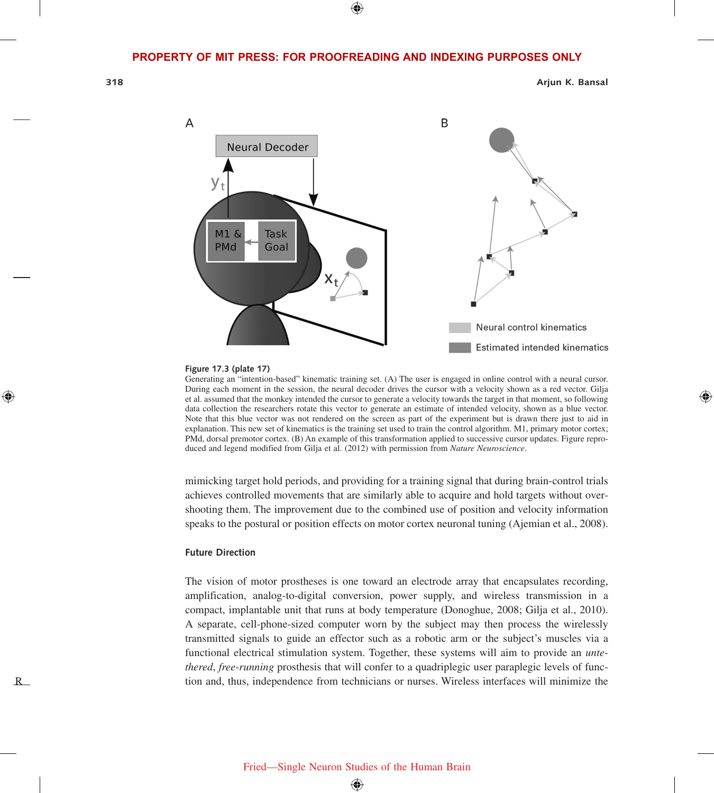⊕

R

⊕

**318 Arjun K. Bansal**

⊕



#### **Figure 17.3 (plate 17)**

Generating an "intention-based" kinematic training set. (A) The user is engaged in online control with a neural cursor. During each moment in the session, the neural decoder drives the cursor with a velocity shown as a red vector. Gilja et al. assumed that the monkey intended the cursor to generate a velocity towards the target in that moment, so following data collection the researchers rotate this vector to generate an estimate of intended velocity, shown as a blue vector. Note that this blue vector was not rendered on the screen as part of the experiment but is drawn there just to aid in explanation. This new set of kinematics is the training set used to train the control algorithm. M1, primary motor cortex; PMd, dorsal premotor cortex. (B) An example of this transformation applied to successive cursor updates. Figure reproduced and legend modified from Gilja et al. (2012) with permission from *Nature Neuroscience*.

mimicking target hold periods, and providing for a training signal that during brain-control trials achieves controlled movements that are similarly able to acquire and hold targets without overshooting them. The improvement due to the combined use of position and velocity information speaks to the postural or position effects on motor cortex neuronal tuning (Ajemian et al., 2008).

#### **Future Direction**

The vision of motor prostheses is one toward an electrode array that encapsulates recording, amplification, analog-to-digital conversion, power supply, and wireless transmission in a compact, implantable unit that runs at body temperature (Donoghue, 2008; Gilja et al., 2010). A separate, cell-phone-sized computer worn by the subject may then process the wirelessly transmitted signals to guide an effector such as a robotic arm or the subject's muscles via a functional electrical stimulation system. Together, these systems will aim to provide an *untethered*, *free-running* prosthesis that will confer to a quadriplegic user paraplegic levels of function and, thus, independence from technicians or nurses. Wireless interfaces will minimize the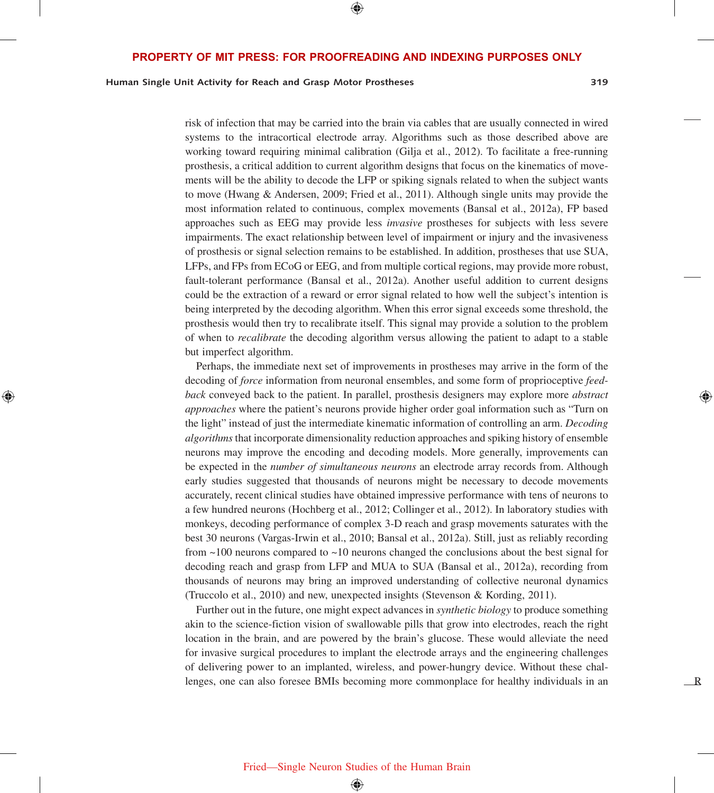⊕

## **Human Single Unit Activity for Reach and Grasp Motor Prostheses 319**

⊕

R

risk of infection that may be carried into the brain via cables that are usually connected in wired systems to the intracortical electrode array. Algorithms such as those described above are working toward requiring minimal calibration (Gilja et al., 2012). To facilitate a free-running prosthesis, a critical addition to current algorithm designs that focus on the kinematics of movements will be the ability to decode the LFP or spiking signals related to when the subject wants to move (Hwang & Andersen, 2009; Fried et al., 2011). Although single units may provide the most information related to continuous, complex movements (Bansal et al., 2012a), FP based approaches such as EEG may provide less *invasive* prostheses for subjects with less severe impairments. The exact relationship between level of impairment or injury and the invasiveness of prosthesis or signal selection remains to be established. In addition, prostheses that use SUA, LFPs, and FPs from ECoG or EEG, and from multiple cortical regions, may provide more robust, fault-tolerant performance (Bansal et al., 2012a). Another useful addition to current designs could be the extraction of a reward or error signal related to how well the subject's intention is being interpreted by the decoding algorithm. When this error signal exceeds some threshold, the prosthesis would then try to recalibrate itself. This signal may provide a solution to the problem of when to *recalibrate* the decoding algorithm versus allowing the patient to adapt to a stable but imperfect algorithm.

Perhaps, the immediate next set of improvements in prostheses may arrive in the form of the decoding of *force* information from neuronal ensembles, and some form of proprioceptive *feedback* conveyed back to the patient. In parallel, prosthesis designers may explore more *abstract approaches* where the patient's neurons provide higher order goal information such as "Turn on the light" instead of just the intermediate kinematic information of controlling an arm. *Decoding algorithms* that incorporate dimensionality reduction approaches and spiking history of ensemble neurons may improve the encoding and decoding models. More generally, improvements can be expected in the *number of simultaneous neurons* an electrode array records from. Although early studies suggested that thousands of neurons might be necessary to decode movements accurately, recent clinical studies have obtained impressive performance with tens of neurons to a few hundred neurons (Hochberg et al., 2012; Collinger et al., 2012). In laboratory studies with monkeys, decoding performance of complex 3-D reach and grasp movements saturates with the best 30 neurons (Vargas-Irwin et al., 2010; Bansal et al., 2012a). Still, just as reliably recording from ~100 neurons compared to ~10 neurons changed the conclusions about the best signal for decoding reach and grasp from LFP and MUA to SUA (Bansal et al., 2012a), recording from thousands of neurons may bring an improved understanding of collective neuronal dynamics (Truccolo et al., 2010) and new, unexpected insights (Stevenson & Kording, 2011).

Further out in the future, one might expect advances in *synthetic biology* to produce something akin to the science-fiction vision of swallowable pills that grow into electrodes, reach the right location in the brain, and are powered by the brain's glucose. These would alleviate the need for invasive surgical procedures to implant the electrode arrays and the engineering challenges of delivering power to an implanted, wireless, and power-hungry device. Without these challenges, one can also foresee BMIs becoming more commonplace for healthy individuals in an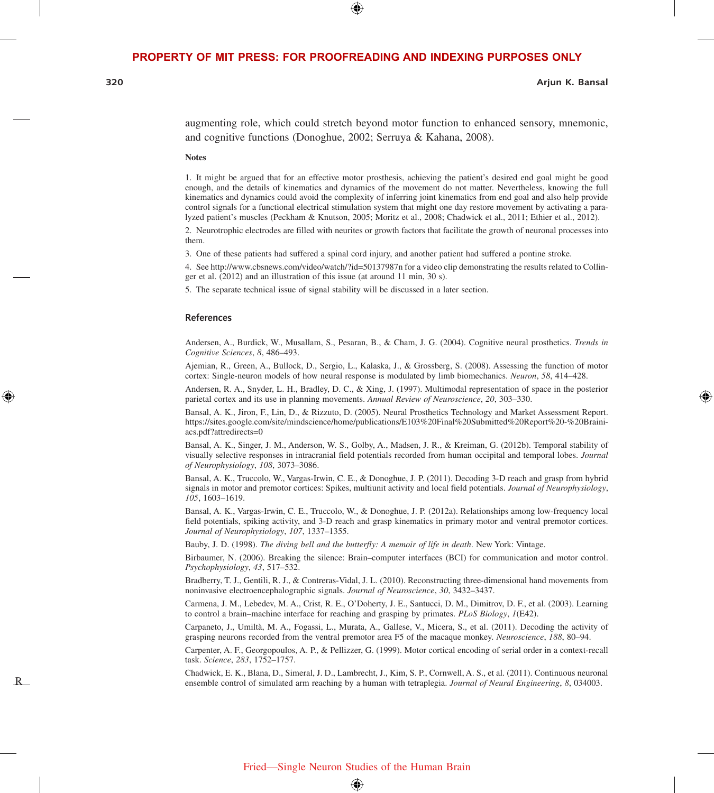⊕

R

⊕

#### **320 Arjun K. Bansal**

⇔

augmenting role, which could stretch beyond motor function to enhanced sensory, mnemonic, and cognitive functions (Donoghue, 2002; Serruya & Kahana, 2008).

**Notes**

1. It might be argued that for an effective motor prosthesis, achieving the patient's desired end goal might be good enough, and the details of kinematics and dynamics of the movement do not matter. Nevertheless, knowing the full kinematics and dynamics could avoid the complexity of inferring joint kinematics from end goal and also help provide control signals for a functional electrical stimulation system that might one day restore movement by activating a paralyzed patient's muscles (Peckham & Knutson, 2005; Moritz et al., 2008; Chadwick et al., 2011; Ethier et al., 2012).

2. Neurotrophic electrodes are filled with neurites or growth factors that facilitate the growth of neuronal processes into them.

3. One of these patients had suffered a spinal cord injury, and another patient had suffered a pontine stroke.

4. See http://www.cbsnews.com/video/watch/?id=50137987n for a video clip demonstrating the results related to Collinger et al. (2012) and an illustration of this issue (at around 11 min, 30 s).

5. The separate technical issue of signal stability will be discussed in a later section.

#### **References**

Andersen, A., Burdick, W., Musallam, S., Pesaran, B., & Cham, J. G. (2004). Cognitive neural prosthetics. *Trends in Cognitive Sciences*, *8*, 486–493.

Ajemian, R., Green, A., Bullock, D., Sergio, L., Kalaska, J., & Grossberg, S. (2008). Assessing the function of motor cortex: Single-neuron models of how neural response is modulated by limb biomechanics. *Neuron*, *58*, 414–428.

Andersen, R. A., Snyder, L. H., Bradley, D. C., & Xing, J. (1997). Multimodal representation of space in the posterior parietal cortex and its use in planning movements. *Annual Review of Neuroscience*, *20*, 303–330.

Bansal, A. K., Jiron, F., Lin, D., & Rizzuto, D. (2005). Neural Prosthetics Technology and Market Assessment Report. https://sites.google.com/site/mindscience/home/publications/E103%20Final%20Submitted%20Report%20-%20Brainiacs.pdf?attredirects=0

Bansal, A. K., Singer, J. M., Anderson, W. S., Golby, A., Madsen, J. R., & Kreiman, G. (2012b). Temporal stability of visually selective responses in intracranial field potentials recorded from human occipital and temporal lobes. *Journal of Neurophysiology*, *108*, 3073–3086.

Bansal, A. K., Truccolo, W., Vargas-Irwin, C. E., & Donoghue, J. P. (2011). Decoding 3-D reach and grasp from hybrid signals in motor and premotor cortices: Spikes, multiunit activity and local field potentials. *Journal of Neurophysiology*, *105*, 1603–1619.

Bansal, A. K., Vargas-Irwin, C. E., Truccolo, W., & Donoghue, J. P. (2012a). Relationships among low-frequency local field potentials, spiking activity, and 3-D reach and grasp kinematics in primary motor and ventral premotor cortices. *Journal of Neurophysiology*, *107*, 1337–1355.

Bauby, J. D. (1998). *The diving bell and the butterfly: A memoir of life in death*. New York: Vintage.

Birbaumer, N. (2006). Breaking the silence: Brain–computer interfaces (BCI) for communication and motor control. *Psychophysiology*, *43*, 517–532.

Bradberry, T. J., Gentili, R. J., & Contreras-Vidal, J. L. (2010). Reconstructing three-dimensional hand movements from noninvasive electroencephalographic signals. *Journal of Neuroscience*, *30*, 3432–3437.

Carmena, J. M., Lebedev, M. A., Crist, R. E., O'Doherty, J. E., Santucci, D. M., Dimitrov, D. F., et al. (2003). Learning to control a brain–machine interface for reaching and grasping by primates. *PLoS Biology*, *1*(E42).

Carpaneto, J., Umiltà, M. A., Fogassi, L., Murata, A., Gallese, V., Micera, S., et al. (2011). Decoding the activity of grasping neurons recorded from the ventral premotor area F5 of the macaque monkey. *Neuroscience*, *188*, 80–94.

Carpenter, A. F., Georgopoulos, A. P., & Pellizzer, G. (1999). Motor cortical encoding of serial order in a context-recall task. *Science*, *283*, 1752–1757.

Chadwick, E. K., Blana, D., Simeral, J. D., Lambrecht, J., Kim, S. P., Cornwell, A. S., et al. (2011). Continuous neuronal ensemble control of simulated arm reaching by a human with tetraplegia. *Journal of Neural Engineering*, *8*, 034003.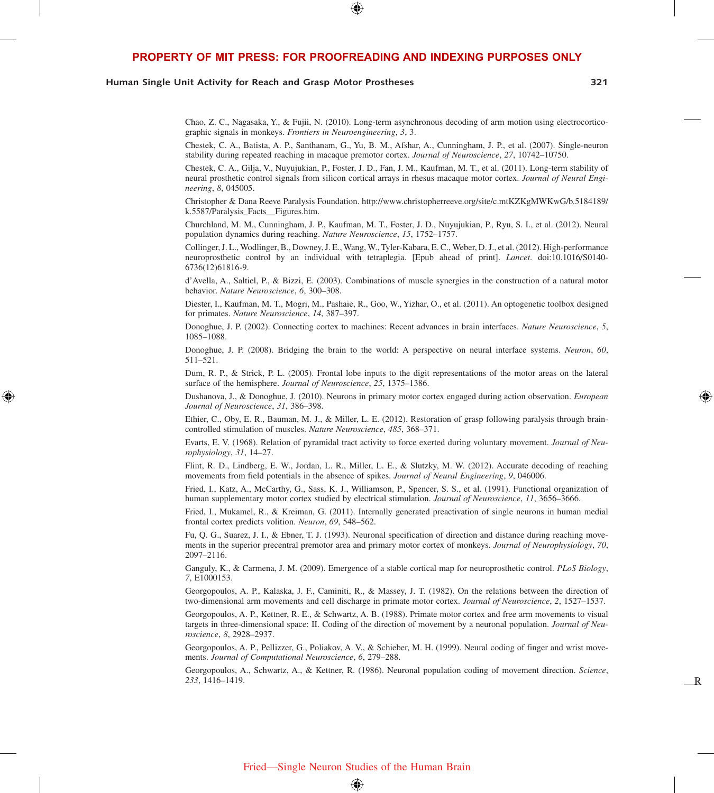⊕

#### **Human Single Unit Activity for Reach and Grasp Motor Prostheses 321**

⊕

R

Chao, Z. C., Nagasaka, Y., & Fujii, N. (2010). Long-term asynchronous decoding of arm motion using electrocorticographic signals in monkeys. *Frontiers in Neuroengineering*, *3*, 3.

Chestek, C. A., Batista, A. P., Santhanam, G., Yu, B. M., Afshar, A., Cunningham, J. P., et al. (2007). Single-neuron stability during repeated reaching in macaque premotor cortex. *Journal of Neuroscience*, *27*, 10742–10750.

Chestek, C. A., Gilja, V., Nuyujukian, P., Foster, J. D., Fan, J. M., Kaufman, M. T., et al. (2011). Long-term stability of neural prosthetic control signals from silicon cortical arrays in rhesus macaque motor cortex. *Journal of Neural Engineering*, *8*, 045005.

Christopher & Dana Reeve Paralysis Foundation. http://www.christopherreeve.org/site/c.mtKZKgMWKwG/b.5184189/ k.5587/Paralysis\_Facts\_\_Figures.htm.

Churchland, M. M., Cunningham, J. P., Kaufman, M. T., Foster, J. D., Nuyujukian, P., Ryu, S. I., et al. (2012). Neural population dynamics during reaching. *Nature Neuroscience*, *15*, 1752–1757.

Collinger, J. L., Wodlinger, B., Downey, J. E., Wang, W., Tyler-Kabara, E. C., Weber, D. J., et al. (2012). High-performance neuroprosthetic control by an individual with tetraplegia. [Epub ahead of print]. *Lancet*. doi:10.1016/S0140- 6736(12)61816-9.

d'Avella, A., Saltiel, P., & Bizzi, E. (2003). Combinations of muscle synergies in the construction of a natural motor behavior. *Nature Neuroscience*, *6*, 300–308.

Diester, I., Kaufman, M. T., Mogri, M., Pashaie, R., Goo, W., Yizhar, O., et al. (2011). An optogenetic toolbox designed for primates. *Nature Neuroscience*, *14*, 387–397.

Donoghue, J. P. (2002). Connecting cortex to machines: Recent advances in brain interfaces. *Nature Neuroscience*, *5*, 1085–1088.

Donoghue, J. P. (2008). Bridging the brain to the world: A perspective on neural interface systems. *Neuron*, *60*, 511–521.

Dum, R. P., & Strick, P. L. (2005). Frontal lobe inputs to the digit representations of the motor areas on the lateral surface of the hemisphere. *Journal of Neuroscience*, *25*, 1375–1386.

Dushanova, J., & Donoghue, J. (2010). Neurons in primary motor cortex engaged during action observation. *European Journal of Neuroscience*, *31*, 386–398.

Ethier, C., Oby, E. R., Bauman, M. J., & Miller, L. E. (2012). Restoration of grasp following paralysis through braincontrolled stimulation of muscles. *Nature Neuroscience*, *485*, 368–371.

Evarts, E. V. (1968). Relation of pyramidal tract activity to force exerted during voluntary movement. *Journal of Neurophysiology*, *31*, 14–27.

Flint, R. D., Lindberg, E. W., Jordan, L. R., Miller, L. E., & Slutzky, M. W. (2012). Accurate decoding of reaching movements from field potentials in the absence of spikes. *Journal of Neural Engineering*, *9*, 046006.

Fried, I., Katz, A., McCarthy, G., Sass, K. J., Williamson, P., Spencer, S. S., et al. (1991). Functional organization of human supplementary motor cortex studied by electrical stimulation. *Journal of Neuroscience*, *11*, 3656–3666.

Fried, I., Mukamel, R., & Kreiman, G. (2011). Internally generated preactivation of single neurons in human medial frontal cortex predicts volition. *Neuron*, *69*, 548–562.

Fu, Q. G., Suarez, J. I., & Ebner, T. J. (1993). Neuronal specification of direction and distance during reaching movements in the superior precentral premotor area and primary motor cortex of monkeys. *Journal of Neurophysiology*, *70*, 2097–2116.

Ganguly, K., & Carmena, J. M. (2009). Emergence of a stable cortical map for neuroprosthetic control. *PLoS Biology*, *7*, E1000153.

Georgopoulos, A. P., Kalaska, J. F., Caminiti, R., & Massey, J. T. (1982). On the relations between the direction of two-dimensional arm movements and cell discharge in primate motor cortex. *Journal of Neuroscience*, *2*, 1527–1537.

Georgopoulos, A. P., Kettner, R. E., & Schwartz, A. B. (1988). Primate motor cortex and free arm movements to visual targets in three-dimensional space: II. Coding of the direction of movement by a neuronal population. *Journal of Neuroscience*, *8*, 2928–2937.

Georgopoulos, A. P., Pellizzer, G., Poliakov, A. V., & Schieber, M. H. (1999). Neural coding of finger and wrist movements. *Journal of Computational Neuroscience*, *6*, 279–288.

Georgopoulos, A., Schwartz, A., & Kettner, R. (1986). Neuronal population coding of movement direction. *Science*, *233*, 1416–1419.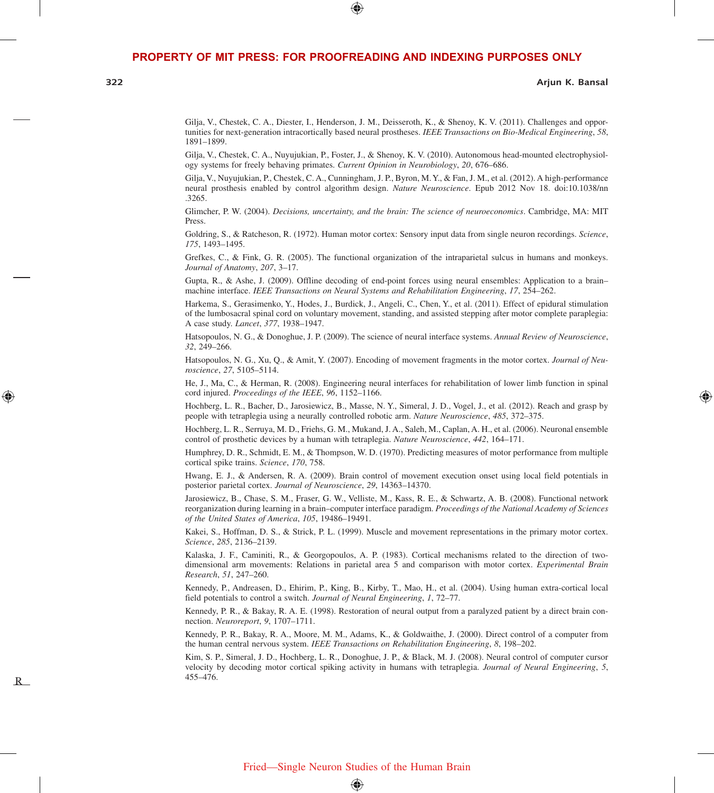⊕

**322 Arjun K. Bansal**

⇔

Gilja, V., Chestek, C. A., Diester, I., Henderson, J. M., Deisseroth, K., & Shenoy, K. V. (2011). Challenges and opportunities for next-generation intracortically based neural prostheses. *IEEE Transactions on Bio-Medical Engineering*, *58*, 1891–1899.

Gilja, V., Chestek, C. A., Nuyujukian, P., Foster, J., & Shenoy, K. V. (2010). Autonomous head-mounted electrophysiology systems for freely behaving primates. *Current Opinion in Neurobiology*, *20*, 676–686.

Gilja, V., Nuyujukian, P., Chestek, C. A., Cunningham, J. P., Byron, M. Y., & Fan, J. M., et al. (2012). A high-performance neural prosthesis enabled by control algorithm design. *Nature Neuroscience*. Epub 2012 Nov 18. doi:10.1038/nn .3265.

Glimcher, P. W. (2004). *Decisions, uncertainty, and the brain: The science of neuroeconomics*. Cambridge, MA: MIT Press.

Goldring, S., & Ratcheson, R. (1972). Human motor cortex: Sensory input data from single neuron recordings. *Science*, *175*, 1493–1495.

Grefkes, C., & Fink, G. R. (2005). The functional organization of the intraparietal sulcus in humans and monkeys. *Journal of Anatomy*, *207*, 3–17.

Gupta, R., & Ashe, J. (2009). Offline decoding of end-point forces using neural ensembles: Application to a brain– machine interface. *IEEE Transactions on Neural Systems and Rehabilitation Engineering*, *17*, 254–262.

Harkema, S., Gerasimenko, Y., Hodes, J., Burdick, J., Angeli, C., Chen, Y., et al. (2011). Effect of epidural stimulation of the lumbosacral spinal cord on voluntary movement, standing, and assisted stepping after motor complete paraplegia: A case study. *Lancet*, *377*, 1938–1947.

Hatsopoulos, N. G., & Donoghue, J. P. (2009). The science of neural interface systems. *Annual Review of Neuroscience*, *32*, 249–266.

Hatsopoulos, N. G., Xu, Q., & Amit, Y. (2007). Encoding of movement fragments in the motor cortex. *Journal of Neuroscience*, *27*, 5105–5114.

He, J., Ma, C., & Herman, R. (2008). Engineering neural interfaces for rehabilitation of lower limb function in spinal cord injured. *Proceedings of the IEEE*, *96*, 1152–1166.

Hochberg, L. R., Bacher, D., Jarosiewicz, B., Masse, N. Y., Simeral, J. D., Vogel, J., et al. (2012). Reach and grasp by people with tetraplegia using a neurally controlled robotic arm. *Nature Neuroscience*, *485*, 372–375.

Hochberg, L. R., Serruya, M. D., Friehs, G. M., Mukand, J. A., Saleh, M., Caplan, A. H., et al. (2006). Neuronal ensemble control of prosthetic devices by a human with tetraplegia. *Nature Neuroscience*, *442*, 164–171.

Humphrey, D. R., Schmidt, E. M., & Thompson, W. D. (1970). Predicting measures of motor performance from multiple cortical spike trains. *Science*, *170*, 758.

Hwang, E. J., & Andersen, R. A. (2009). Brain control of movement execution onset using local field potentials in posterior parietal cortex. *Journal of Neuroscience*, *29*, 14363–14370.

Jarosiewicz, B., Chase, S. M., Fraser, G. W., Velliste, M., Kass, R. E., & Schwartz, A. B. (2008). Functional network reorganization during learning in a brain–computer interface paradigm. *Proceedings of the National Academy of Sciences of the United States of America*, *105*, 19486–19491.

Kakei, S., Hoffman, D. S., & Strick, P. L. (1999). Muscle and movement representations in the primary motor cortex. *Science*, *285*, 2136–2139.

Kalaska, J. F., Caminiti, R., & Georgopoulos, A. P. (1983). Cortical mechanisms related to the direction of twodimensional arm movements: Relations in parietal area 5 and comparison with motor cortex. *Experimental Brain Research*, *51*, 247–260.

Kennedy, P., Andreasen, D., Ehirim, P., King, B., Kirby, T., Mao, H., et al. (2004). Using human extra-cortical local field potentials to control a switch. *Journal of Neural Engineering*, *1*, 72–77.

Kennedy, P. R., & Bakay, R. A. E. (1998). Restoration of neural output from a paralyzed patient by a direct brain connection. *Neuroreport*, *9*, 1707–1711.

Kennedy, P. R., Bakay, R. A., Moore, M. M., Adams, K., & Goldwaithe, J. (2000). Direct control of a computer from the human central nervous system. *IEEE Transactions on Rehabilitation Engineering*, *8*, 198–202.

Kim, S. P., Simeral, J. D., Hochberg, L. R., Donoghue, J. P., & Black, M. J. (2008). Neural control of computer cursor velocity by decoding motor cortical spiking activity in humans with tetraplegia. *Journal of Neural Engineering*, *5*, 455–476.

R

⊕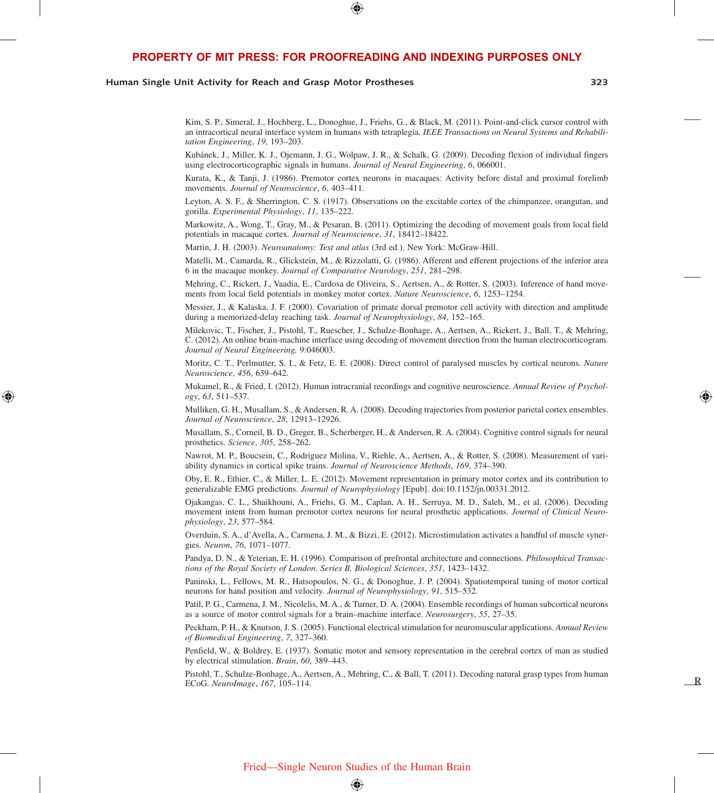⊕

#### **Human Single Unit Activity for Reach and Grasp Motor Prostheses 323**

⊕

Kim, S. P., Simeral, J., Hochberg, L., Donoghue, J., Friehs, G., & Black, M. (2011). Point-and-click cursor control with an intracortical neural interface system in humans with tetraplegia. *IEEE Transactions on Neural Systems and Rehabilitation Engineering*, *19*, 193–203.

Kubánek, J., Miller, K. J., Ojemann, J. G., Wolpaw, J. R., & Schalk, G. (2009). Decoding flexion of individual fingers using electrocorticographic signals in humans. *Journal of Neural Engineering*, *6*, 066001.

Kurata, K., & Tanji, J. (1986). Premotor cortex neurons in macaques: Activity before distal and proximal forelimb movements. *Journal of Neuroscience*, *6*, 403–411.

Leyton, A. S. F., & Sherrington, C. S. (1917). Observations on the excitable cortex of the chimpanzee, orangutan, and gorilla. *Experimental Physiology*, *11*, 135–222.

Markowitz, A., Wong, T., Gray, M., & Pesaran, B. (2011). Optimizing the decoding of movement goals from local field potentials in macaque cortex. *Journal of Neuroscience*, *31*, 18412–18422.

Martin, J. H. (2003). *Neuroanatomy: Text and atlas* (3rd ed.). New York: McGraw-Hill.

Matelli, M., Camarda, R., Glickstein, M., & Rizzolatti, G. (1986). Afferent and efferent projections of the inferior area 6 in the macaque monkey. *Journal of Comparative Neurology*, *251*, 281–298.

Mehring, C., Rickert, J., Vaadia, E., Cardosa de Oliveira, S., Aertsen, A., & Rotter, S. (2003). Inference of hand movements from local field potentials in monkey motor cortex. *Nature Neuroscience*, *6*, 1253–1254.

Messier, J., & Kalaska, J. F. (2000). Covariation of primate dorsal premotor cell activity with direction and amplitude during a memorized-delay reaching task. *Journal of Neurophysiology*, *84*, 152–165.

Milekovic, T., Fischer, J., Pistohl, T., Ruescher, J., Schulze-Bonhage, A., Aertsen, A., Rickert, J., Ball, T., & Mehring, C. (2012). An online brain-machine interface using decoding of movement direction from the human electrocorticogram. *Journal of Neural Engineering,* 9:046003.

Moritz, C. T., Perlmutter, S. I., & Fetz, E. E. (2008). Direct control of paralysed muscles by cortical neurons. *Nature Neuroscience*, *456*, 639–642.

Mukamel, R., & Fried, I. (2012). Human intracranial recordings and cognitive neuroscience. *Annual Review of Psychology*, *63*, 511–537.

Mulliken, G. H., Musallam, S., & Andersen, R. A. (2008). Decoding trajectories from posterior parietal cortex ensembles. *Journal of Neuroscience*, *28*, 12913–12926.

Musallam, S., Corneil, B. D., Greger, B., Scherberger, H., & Andersen, R. A. (2004). Cognitive control signals for neural prosthetics. *Science*, *305*, 258–262.

Nawrot, M. P., Boucsein, C., Rodriguez Molina, V., Riehle, A., Aertsen, A., & Rotter, S. (2008). Measurement of variability dynamics in cortical spike trains. *Journal of Neuroscience Methods*, *169*, 374–390.

Oby, E. R., Ethier, C., & Miller, L. E. (2012). Movement representation in primary motor cortex and its contribution to generalizable EMG predictions. *Journal of Neurophysiology* [Epub]. doi:10.1152/jn.00331.2012.

Ojakangas, C. L., Shaikhouni, A., Friehs, G. M., Caplan, A. H., Serruya, M. D., Saleh, M., et al. (2006). Decoding movement intent from human premotor cortex neurons for neural prosthetic applications. *Journal of Clinical Neurophysiology*, *23*, 577–584.

Overduin, S. A., d'Avella, A., Carmena, J. M., & Bizzi, E. (2012). Microstimulation activates a handful of muscle synergies. *Neuron*, *76*, 1071–1077.

Pandya, D. N., & Yeterian, E. H. (1996). Comparison of prefrontal architecture and connections. *Philosophical Transactions of the Royal Society of London. Series B, Biological Sciences*, *351*, 1423–1432.

Paninski, L., Fellows, M. R., Hatsopoulos, N. G., & Donoghue, J. P. (2004). Spatiotemporal tuning of motor cortical neurons for hand position and velocity. *Journal of Neurophysiology*, *91*, 515–532.

Patil, P. G., Carmena, J. M., Nicolelis, M. A., & Turner, D. A. (2004). Ensemble recordings of human subcortical neurons as a source of motor control signals for a brain–machine interface. *Neurosurgery*, *55*, 27–35.

Peckham, P. H., & Knutson, J. S. (2005). Functional electrical stimulation for neuromuscular applications. *Annual Review of Biomedical Engineering*, *7*, 327–360.

Penfield, W., & Boldrey, E. (1937). Somatic motor and sensory representation in the cerebral cortex of man as studied by electrical stimulation. *Brain*, *60*, 389–443.

Pistohl, T., Schulze-Bonhage, A., Aertsen, A., Mehring, C., & Ball, T. (2011). Decoding natural grasp types from human ECoG. *NeuroImage*, *167*, 105–114.

R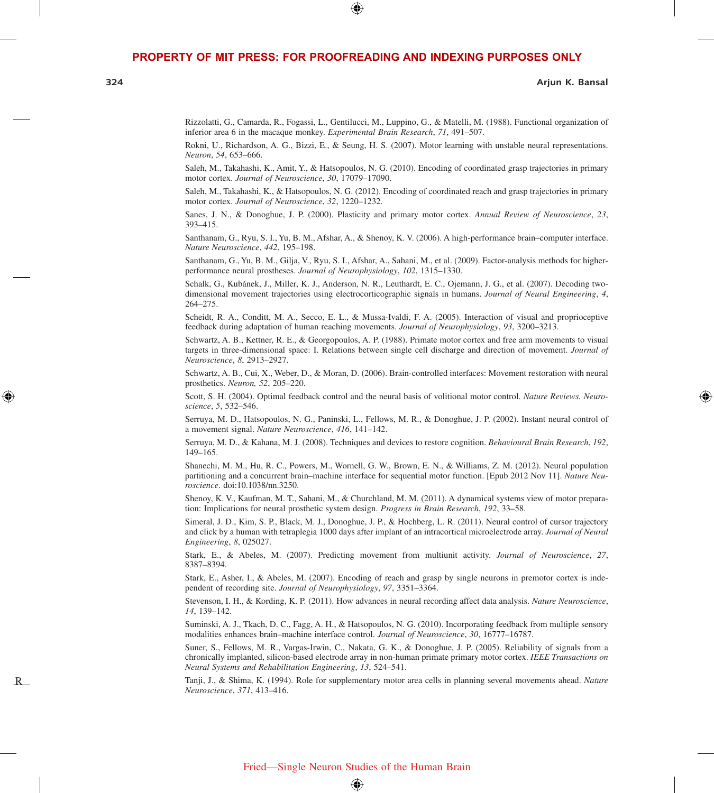⊕

**324 Arjun K. Bansal**

⇔

Rizzolatti, G., Camarda, R., Fogassi, L., Gentilucci, M., Luppino, G., & Matelli, M. (1988). Functional organization of inferior area 6 in the macaque monkey. *Experimental Brain Research*, *71*, 491–507.

Rokni, U., Richardson, A. G., Bizzi, E., & Seung, H. S. (2007). Motor learning with unstable neural representations. *Neuron*, *54*, 653–666.

Saleh, M., Takahashi, K., Amit, Y., & Hatsopoulos, N. G. (2010). Encoding of coordinated grasp trajectories in primary motor cortex. *Journal of Neuroscience*, *30*, 17079–17090.

Saleh, M., Takahashi, K., & Hatsopoulos, N. G. (2012). Encoding of coordinated reach and grasp trajectories in primary motor cortex. *Journal of Neuroscience*, *32*, 1220–1232.

Sanes, J. N., & Donoghue, J. P. (2000). Plasticity and primary motor cortex. *Annual Review of Neuroscience*, *23*, 393–415.

Santhanam, G., Ryu, S. I., Yu, B. M., Afshar, A., & Shenoy, K. V. (2006). A high-performance brain–computer interface. *Nature Neuroscience*, *442*, 195–198.

Santhanam, G., Yu, B. M., Gilja, V., Ryu, S. I., Afshar, A., Sahani, M., et al. (2009). Factor-analysis methods for higherperformance neural prostheses. *Journal of Neurophysiology*, *102*, 1315–1330.

Schalk, G., Kubánek, J., Miller, K. J., Anderson, N. R., Leuthardt, E. C., Ojemann, J. G., et al. (2007). Decoding twodimensional movement trajectories using electrocorticographic signals in humans. *Journal of Neural Engineering*, *4*, 264–275.

Scheidt, R. A., Conditt, M. A., Secco, E. L., & Mussa-Ivaldi, F. A. (2005). Interaction of visual and proprioceptive feedback during adaptation of human reaching movements. *Journal of Neurophysiology*, *93*, 3200–3213.

Schwartz, A. B., Kettner, R. E., & Georgopoulos, A. P. (1988). Primate motor cortex and free arm movements to visual targets in three-dimensional space: I. Relations between single cell discharge and direction of movement. *Journal of Neuroscience*, *8*, 2913–2927.

Schwartz, A. B., Cui, X., Weber, D., & Moran, D. (2006). Brain-controlled interfaces: Movement restoration with neural prosthetics. *Neuron, 52*, 205–220.

Scott, S. H. (2004). Optimal feedback control and the neural basis of volitional motor control. *Nature Reviews. Neuroscience*, *5*, 532–546.

Serruya, M. D., Hatsopoulos, N. G., Paninski, L., Fellows, M. R., & Donoghue, J. P. (2002). Instant neural control of a movement signal. *Nature Neuroscience*, *416*, 141–142.

Serruya, M. D., & Kahana, M. J. (2008). Techniques and devices to restore cognition. *Behavioural Brain Research*, *192*, 149–165.

Shanechi, M. M., Hu, R. C., Powers, M., Wornell, G. W., Brown, E. N., & Williams, Z. M. (2012). Neural population partitioning and a concurrent brain–machine interface for sequential motor function. [Epub 2012 Nov 11]. *Nature Neuroscience*. doi:10.1038/nn.3250.

Shenoy, K. V., Kaufman, M. T., Sahani, M., & Churchland, M. M. (2011). A dynamical systems view of motor preparation: Implications for neural prosthetic system design. *Progress in Brain Research*, *192*, 33–58.

Simeral, J. D., Kim, S. P., Black, M. J., Donoghue, J. P., & Hochberg, L. R. (2011). Neural control of cursor trajectory and click by a human with tetraplegia 1000 days after implant of an intracortical microelectrode array. *Journal of Neural Engineering*, *8*, 025027.

Stark, E., & Abeles, M. (2007). Predicting movement from multiunit activity. *Journal of Neuroscience*, *27*, 8387–8394.

Stark, E., Asher, I., & Abeles, M. (2007). Encoding of reach and grasp by single neurons in premotor cortex is independent of recording site. *Journal of Neurophysiology*, *97*, 3351–3364.

Stevenson, I. H., & Kording, K. P. (2011). How advances in neural recording affect data analysis. *Nature Neuroscience*, *14*, 139–142.

Suminski, A. J., Tkach, D. C., Fagg, A. H., & Hatsopoulos, N. G. (2010). Incorporating feedback from multiple sensory modalities enhances brain–machine interface control. *Journal of Neuroscience*, *30*, 16777–16787.

Suner, S., Fellows, M. R., Vargas-Irwin, C., Nakata, G. K., & Donoghue, J. P. (2005). Reliability of signals from a chronically implanted, silicon-based electrode array in non-human primate primary motor cortex. *IEEE Transactions on Neural Systems and Rehabilitation Engineering*, *13*, 524–541.

Tanji, J., & Shima, K. (1994). Role for supplementary motor area cells in planning several movements ahead. *Nature Neuroscience*, *371*, 413–416.

R

⊕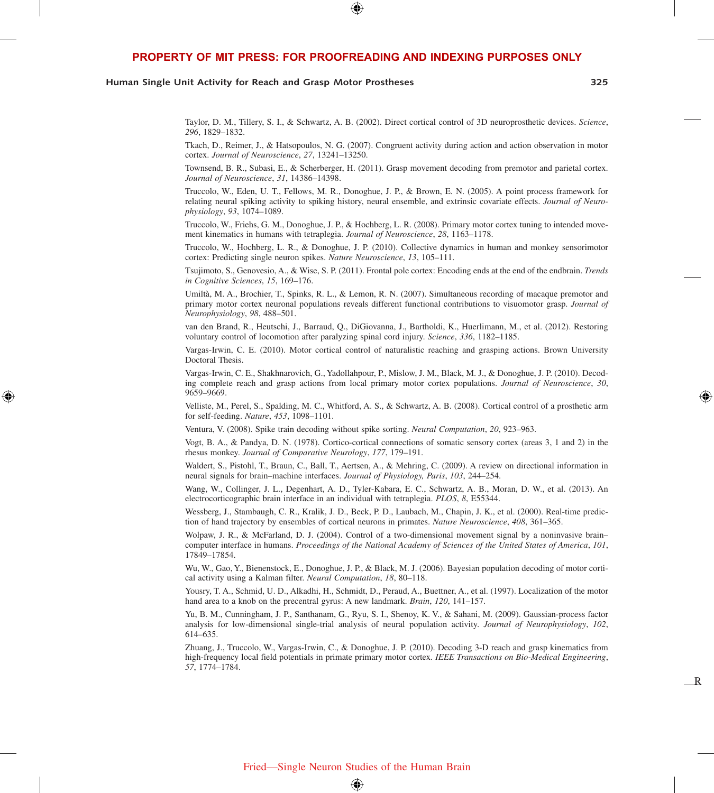⊕

#### **Human Single Unit Activity for Reach and Grasp Motor Prostheses 325**

⊕

R

Taylor, D. M., Tillery, S. I., & Schwartz, A. B. (2002). Direct cortical control of 3D neuroprosthetic devices. *Science*, *296*, 1829–1832.

Tkach, D., Reimer, J., & Hatsopoulos, N. G. (2007). Congruent activity during action and action observation in motor cortex. *Journal of Neuroscience*, *27*, 13241–13250.

Townsend, B. R., Subasi, E., & Scherberger, H. (2011). Grasp movement decoding from premotor and parietal cortex. *Journal of Neuroscience*, *31*, 14386–14398.

Truccolo, W., Eden, U. T., Fellows, M. R., Donoghue, J. P., & Brown, E. N. (2005). A point process framework for relating neural spiking activity to spiking history, neural ensemble, and extrinsic covariate effects. *Journal of Neurophysiology*, *93*, 1074–1089.

Truccolo, W., Friehs, G. M., Donoghue, J. P., & Hochberg, L. R. (2008). Primary motor cortex tuning to intended movement kinematics in humans with tetraplegia. *Journal of Neuroscience*, *28*, 1163–1178.

Truccolo, W., Hochberg, L. R., & Donoghue, J. P. (2010). Collective dynamics in human and monkey sensorimotor cortex: Predicting single neuron spikes. *Nature Neuroscience*, *13*, 105–111.

Tsujimoto, S., Genovesio, A., & Wise, S. P. (2011). Frontal pole cortex: Encoding ends at the end of the endbrain. *Trends in Cognitive Sciences*, *15*, 169–176.

Umiltà, M. A., Brochier, T., Spinks, R. L., & Lemon, R. N. (2007). Simultaneous recording of macaque premotor and primary motor cortex neuronal populations reveals different functional contributions to visuomotor grasp. *Journal of Neurophysiology*, *98*, 488–501.

van den Brand, R., Heutschi, J., Barraud, Q., DiGiovanna, J., Bartholdi, K., Huerlimann, M., et al. (2012). Restoring voluntary control of locomotion after paralyzing spinal cord injury. *Science*, *336*, 1182–1185.

Vargas-Irwin, C. E. (2010). Motor cortical control of naturalistic reaching and grasping actions. Brown University Doctoral Thesis.

Vargas-Irwin, C. E., Shakhnarovich, G., Yadollahpour, P., Mislow, J. M., Black, M. J., & Donoghue, J. P. (2010). Decoding complete reach and grasp actions from local primary motor cortex populations. *Journal of Neuroscience*, *30*, 9659–9669.

Velliste, M., Perel, S., Spalding, M. C., Whitford, A. S., & Schwartz, A. B. (2008). Cortical control of a prosthetic arm for self-feeding. *Nature*, *453*, 1098–1101.

Ventura, V. (2008). Spike train decoding without spike sorting. *Neural Computation*, *20*, 923–963.

Vogt, B. A., & Pandya, D. N. (1978). Cortico-cortical connections of somatic sensory cortex (areas 3, 1 and 2) in the rhesus monkey. *Journal of Comparative Neurology*, *177*, 179–191.

Waldert, S., Pistohl, T., Braun, C., Ball, T., Aertsen, A., & Mehring, C. (2009). A review on directional information in neural signals for brain–machine interfaces. *Journal of Physiology, Paris*, *103*, 244–254.

Wang, W., Collinger, J. L., Degenhart, A. D., Tyler-Kabara, E. C., Schwartz, A. B., Moran, D. W., et al. (2013). An electrocorticographic brain interface in an individual with tetraplegia. *PLOS*, *8*, E55344.

Wessberg, J., Stambaugh, C. R., Kralik, J. D., Beck, P. D., Laubach, M., Chapin, J. K., et al. (2000). Real-time prediction of hand trajectory by ensembles of cortical neurons in primates. *Nature Neuroscience*, *408*, 361–365.

Wolpaw, J. R., & McFarland, D. J. (2004). Control of a two-dimensional movement signal by a noninvasive brain– computer interface in humans. *Proceedings of the National Academy of Sciences of the United States of America*, *101*, 17849–17854.

Wu, W., Gao, Y., Bienenstock, E., Donoghue, J. P., & Black, M. J. (2006). Bayesian population decoding of motor cortical activity using a Kalman filter. *Neural Computation*, *18*, 80–118.

Yousry, T. A., Schmid, U. D., Alkadhi, H., Schmidt, D., Peraud, A., Buettner, A., et al. (1997). Localization of the motor hand area to a knob on the precentral gyrus: A new landmark. *Brain*, *120*, 141–157.

Yu, B. M., Cunningham, J. P., Santhanam, G., Ryu, S. I., Shenoy, K. V., & Sahani, M. (2009). Gaussian-process factor analysis for low-dimensional single-trial analysis of neural population activity. *Journal of Neurophysiology*, *102*, 614–635.

Zhuang, J., Truccolo, W., Vargas-Irwin, C., & Donoghue, J. P. (2010). Decoding 3-D reach and grasp kinematics from high-frequency local field potentials in primate primary motor cortex. *IEEE Transactions on Bio-Medical Engineering*, *57*, 1774–1784.